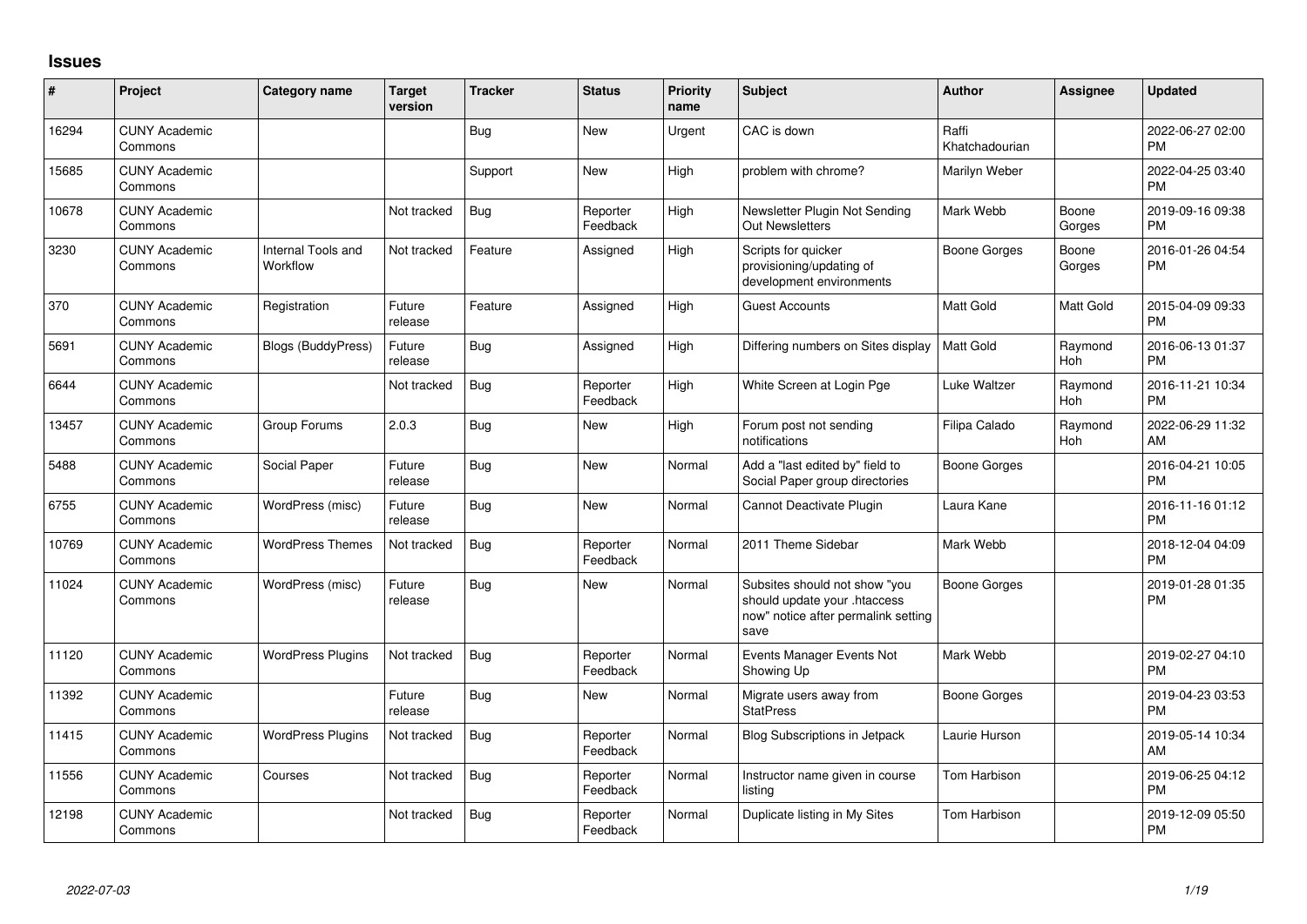## **Issues**

| ∦     | Project                         | <b>Category name</b>           | <b>Target</b><br>version | <b>Tracker</b> | <b>Status</b>        | <b>Priority</b><br>name | <b>Subject</b>                                                                                               | <b>Author</b>           | <b>Assignee</b> | <b>Updated</b>                |
|-------|---------------------------------|--------------------------------|--------------------------|----------------|----------------------|-------------------------|--------------------------------------------------------------------------------------------------------------|-------------------------|-----------------|-------------------------------|
| 16294 | <b>CUNY Academic</b><br>Commons |                                |                          | Bug            | <b>New</b>           | Urgent                  | CAC is down                                                                                                  | Raffi<br>Khatchadourian |                 | 2022-06-27 02:00<br><b>PM</b> |
| 15685 | <b>CUNY Academic</b><br>Commons |                                |                          | Support        | New                  | High                    | problem with chrome?                                                                                         | Marilyn Weber           |                 | 2022-04-25 03:40<br><b>PM</b> |
| 10678 | <b>CUNY Academic</b><br>Commons |                                | Not tracked              | Bug            | Reporter<br>Feedback | High                    | Newsletter Plugin Not Sending<br><b>Out Newsletters</b>                                                      | Mark Webb               | Boone<br>Gorges | 2019-09-16 09:38<br><b>PM</b> |
| 3230  | <b>CUNY Academic</b><br>Commons | Internal Tools and<br>Workflow | Not tracked              | Feature        | Assigned             | High                    | Scripts for quicker<br>provisioning/updating of<br>development environments                                  | Boone Gorges            | Boone<br>Gorges | 2016-01-26 04:54<br><b>PM</b> |
| 370   | <b>CUNY Academic</b><br>Commons | Registration                   | Future<br>release        | Feature        | Assigned             | High                    | <b>Guest Accounts</b>                                                                                        | <b>Matt Gold</b>        | Matt Gold       | 2015-04-09 09:33<br><b>PM</b> |
| 5691  | <b>CUNY Academic</b><br>Commons | <b>Blogs (BuddyPress)</b>      | Future<br>release        | Bug            | Assigned             | High                    | Differing numbers on Sites display                                                                           | <b>Matt Gold</b>        | Raymond<br>Hoh  | 2016-06-13 01:37<br><b>PM</b> |
| 6644  | <b>CUNY Academic</b><br>Commons |                                | Not tracked              | Bug            | Reporter<br>Feedback | High                    | White Screen at Login Pge                                                                                    | Luke Waltzer            | Raymond<br>Hoh  | 2016-11-21 10:34<br><b>PM</b> |
| 13457 | <b>CUNY Academic</b><br>Commons | Group Forums                   | 2.0.3                    | Bug            | New                  | High                    | Forum post not sending<br>notifications                                                                      | Filipa Calado           | Raymond<br>Hoh  | 2022-06-29 11:32<br>AM        |
| 5488  | <b>CUNY Academic</b><br>Commons | Social Paper                   | Future<br>release        | Bug            | <b>New</b>           | Normal                  | Add a "last edited by" field to<br>Social Paper group directories                                            | <b>Boone Gorges</b>     |                 | 2016-04-21 10:05<br><b>PM</b> |
| 6755  | <b>CUNY Academic</b><br>Commons | WordPress (misc)               | Future<br>release        | Bug            | New                  | Normal                  | Cannot Deactivate Plugin                                                                                     | Laura Kane              |                 | 2016-11-16 01:12<br><b>PM</b> |
| 10769 | <b>CUNY Academic</b><br>Commons | <b>WordPress Themes</b>        | Not tracked              | Bug            | Reporter<br>Feedback | Normal                  | 2011 Theme Sidebar                                                                                           | Mark Webb               |                 | 2018-12-04 04:09<br><b>PM</b> |
| 11024 | <b>CUNY Academic</b><br>Commons | WordPress (misc)               | Future<br>release        | Bug            | <b>New</b>           | Normal                  | Subsites should not show "you<br>should update your .htaccess<br>now" notice after permalink setting<br>save | <b>Boone Gorges</b>     |                 | 2019-01-28 01:35<br><b>PM</b> |
| 11120 | <b>CUNY Academic</b><br>Commons | <b>WordPress Plugins</b>       | Not tracked              | Bug            | Reporter<br>Feedback | Normal                  | Events Manager Events Not<br>Showing Up                                                                      | Mark Webb               |                 | 2019-02-27 04:10<br><b>PM</b> |
| 11392 | <b>CUNY Academic</b><br>Commons |                                | Future<br>release        | Bug            | <b>New</b>           | Normal                  | Migrate users away from<br><b>StatPress</b>                                                                  | Boone Gorges            |                 | 2019-04-23 03:53<br><b>PM</b> |
| 11415 | <b>CUNY Academic</b><br>Commons | <b>WordPress Plugins</b>       | Not tracked              | <b>Bug</b>     | Reporter<br>Feedback | Normal                  | <b>Blog Subscriptions in Jetpack</b>                                                                         | Laurie Hurson           |                 | 2019-05-14 10:34<br>AM        |
| 11556 | <b>CUNY Academic</b><br>Commons | Courses                        | Not tracked              | Bug            | Reporter<br>Feedback | Normal                  | Instructor name given in course<br>listing                                                                   | <b>Tom Harbison</b>     |                 | 2019-06-25 04:12<br><b>PM</b> |
| 12198 | <b>CUNY Academic</b><br>Commons |                                | Not tracked              | Bug            | Reporter<br>Feedback | Normal                  | Duplicate listing in My Sites                                                                                | <b>Tom Harbison</b>     |                 | 2019-12-09 05:50<br><b>PM</b> |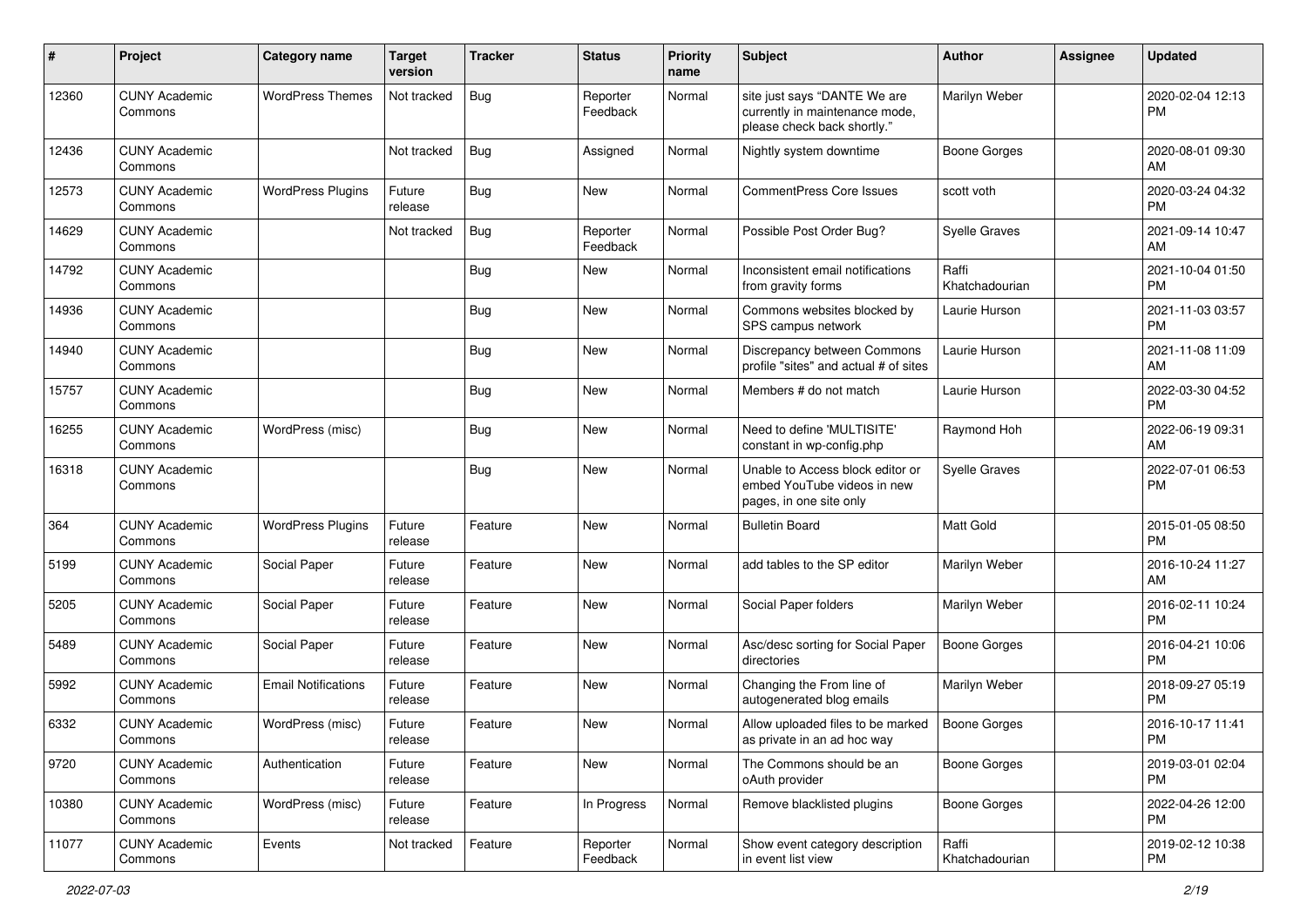| #     | Project                         | <b>Category name</b>       | <b>Target</b><br>version | Tracker    | <b>Status</b>        | <b>Priority</b><br>name | <b>Subject</b>                                                                                | <b>Author</b>           | <b>Assignee</b> | <b>Updated</b>                |
|-------|---------------------------------|----------------------------|--------------------------|------------|----------------------|-------------------------|-----------------------------------------------------------------------------------------------|-------------------------|-----------------|-------------------------------|
| 12360 | <b>CUNY Academic</b><br>Commons | <b>WordPress Themes</b>    | Not tracked              | <b>Bug</b> | Reporter<br>Feedback | Normal                  | site just says "DANTE We are<br>currently in maintenance mode,<br>please check back shortly." | Marilyn Weber           |                 | 2020-02-04 12:13<br>PM        |
| 12436 | <b>CUNY Academic</b><br>Commons |                            | Not tracked              | <b>Bug</b> | Assigned             | Normal                  | Nightly system downtime                                                                       | <b>Boone Gorges</b>     |                 | 2020-08-01 09:30<br>AM        |
| 12573 | <b>CUNY Academic</b><br>Commons | <b>WordPress Plugins</b>   | Future<br>release        | Bug        | New                  | Normal                  | <b>CommentPress Core Issues</b>                                                               | scott voth              |                 | 2020-03-24 04:32<br><b>PM</b> |
| 14629 | <b>CUNY Academic</b><br>Commons |                            | Not tracked              | Bug        | Reporter<br>Feedback | Normal                  | Possible Post Order Bug?                                                                      | <b>Syelle Graves</b>    |                 | 2021-09-14 10:47<br>AM        |
| 14792 | <b>CUNY Academic</b><br>Commons |                            |                          | Bug        | New                  | Normal                  | Inconsistent email notifications<br>from gravity forms                                        | Raffi<br>Khatchadourian |                 | 2021-10-04 01:50<br><b>PM</b> |
| 14936 | <b>CUNY Academic</b><br>Commons |                            |                          | <b>Bug</b> | <b>New</b>           | Normal                  | Commons websites blocked by<br>SPS campus network                                             | Laurie Hurson           |                 | 2021-11-03 03:57<br><b>PM</b> |
| 14940 | <b>CUNY Academic</b><br>Commons |                            |                          | <b>Bug</b> | New                  | Normal                  | Discrepancy between Commons<br>profile "sites" and actual # of sites                          | Laurie Hurson           |                 | 2021-11-08 11:09<br>AM        |
| 15757 | <b>CUNY Academic</b><br>Commons |                            |                          | <b>Bug</b> | <b>New</b>           | Normal                  | Members # do not match                                                                        | Laurie Hurson           |                 | 2022-03-30 04:52<br><b>PM</b> |
| 16255 | <b>CUNY Academic</b><br>Commons | WordPress (misc)           |                          | Bug        | <b>New</b>           | Normal                  | Need to define 'MULTISITE'<br>constant in wp-config.php                                       | Raymond Hoh             |                 | 2022-06-19 09:31<br>AM        |
| 16318 | <b>CUNY Academic</b><br>Commons |                            |                          | <b>Bug</b> | New                  | Normal                  | Unable to Access block editor or<br>embed YouTube videos in new<br>pages, in one site only    | <b>Syelle Graves</b>    |                 | 2022-07-01 06:53<br><b>PM</b> |
| 364   | <b>CUNY Academic</b><br>Commons | <b>WordPress Plugins</b>   | Future<br>release        | Feature    | <b>New</b>           | Normal                  | <b>Bulletin Board</b>                                                                         | <b>Matt Gold</b>        |                 | 2015-01-05 08:50<br><b>PM</b> |
| 5199  | <b>CUNY Academic</b><br>Commons | Social Paper               | Future<br>release        | Feature    | New                  | Normal                  | add tables to the SP editor                                                                   | Marilyn Weber           |                 | 2016-10-24 11:27<br>AM        |
| 5205  | <b>CUNY Academic</b><br>Commons | Social Paper               | Future<br>release        | Feature    | <b>New</b>           | Normal                  | Social Paper folders                                                                          | Marilyn Weber           |                 | 2016-02-11 10:24<br><b>PM</b> |
| 5489  | <b>CUNY Academic</b><br>Commons | Social Paper               | Future<br>release        | Feature    | New                  | Normal                  | Asc/desc sorting for Social Paper<br>directories                                              | <b>Boone Gorges</b>     |                 | 2016-04-21 10:06<br><b>PM</b> |
| 5992  | <b>CUNY Academic</b><br>Commons | <b>Email Notifications</b> | Future<br>release        | Feature    | <b>New</b>           | Normal                  | Changing the From line of<br>autogenerated blog emails                                        | Marilyn Weber           |                 | 2018-09-27 05:19<br><b>PM</b> |
| 6332  | <b>CUNY Academic</b><br>Commons | WordPress (misc)           | Future<br>release        | Feature    | <b>New</b>           | Normal                  | Allow uploaded files to be marked<br>as private in an ad hoc way                              | Boone Gorges            |                 | 2016-10-17 11:41<br>PM        |
| 9720  | <b>CUNY Academic</b><br>Commons | Authentication             | Future<br>release        | Feature    | New                  | Normal                  | The Commons should be an<br>oAuth provider                                                    | <b>Boone Gorges</b>     |                 | 2019-03-01 02:04<br>PM.       |
| 10380 | <b>CUNY Academic</b><br>Commons | WordPress (misc)           | Future<br>release        | Feature    | In Progress          | Normal                  | Remove blacklisted plugins                                                                    | <b>Boone Gorges</b>     |                 | 2022-04-26 12:00<br><b>PM</b> |
| 11077 | <b>CUNY Academic</b><br>Commons | Events                     | Not tracked              | Feature    | Reporter<br>Feedback | Normal                  | Show event category description<br>in event list view                                         | Raffi<br>Khatchadourian |                 | 2019-02-12 10:38<br><b>PM</b> |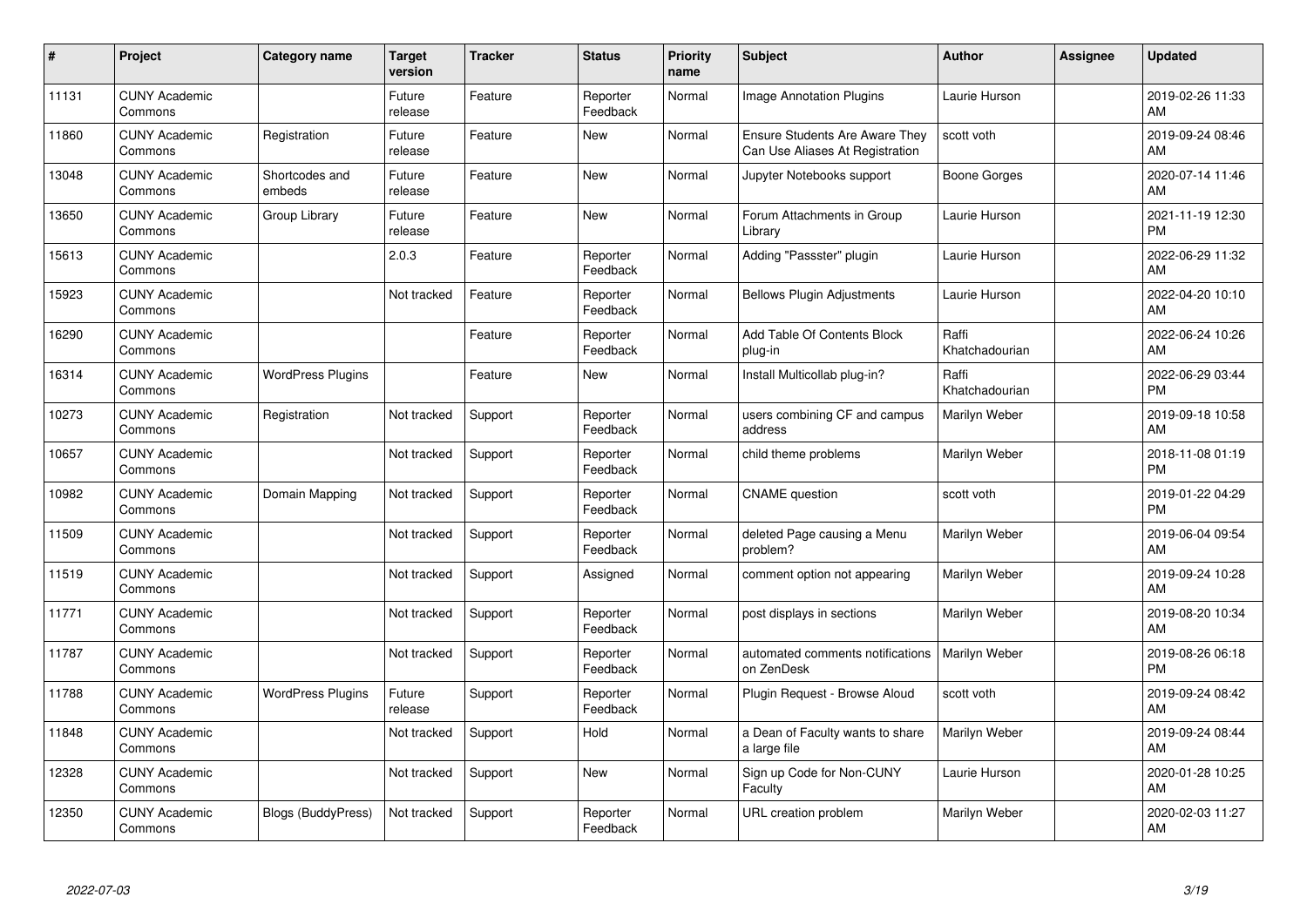| #     | Project                         | <b>Category name</b>      | <b>Target</b><br>version | <b>Tracker</b> | <b>Status</b>        | <b>Priority</b><br>name | <b>Subject</b>                                                           | <b>Author</b>           | Assignee | <b>Updated</b>                |
|-------|---------------------------------|---------------------------|--------------------------|----------------|----------------------|-------------------------|--------------------------------------------------------------------------|-------------------------|----------|-------------------------------|
| 11131 | <b>CUNY Academic</b><br>Commons |                           | Future<br>release        | Feature        | Reporter<br>Feedback | Normal                  | <b>Image Annotation Plugins</b>                                          | Laurie Hurson           |          | 2019-02-26 11:33<br>AM        |
| 11860 | <b>CUNY Academic</b><br>Commons | Registration              | Future<br>release        | Feature        | <b>New</b>           | Normal                  | <b>Ensure Students Are Aware They</b><br>Can Use Aliases At Registration | scott voth              |          | 2019-09-24 08:46<br>AM        |
| 13048 | <b>CUNY Academic</b><br>Commons | Shortcodes and<br>embeds  | Future<br>release        | Feature        | New                  | Normal                  | Jupyter Notebooks support                                                | Boone Gorges            |          | 2020-07-14 11:46<br>AM        |
| 13650 | <b>CUNY Academic</b><br>Commons | Group Library             | Future<br>release        | Feature        | <b>New</b>           | Normal                  | Forum Attachments in Group<br>Library                                    | Laurie Hurson           |          | 2021-11-19 12:30<br><b>PM</b> |
| 15613 | <b>CUNY Academic</b><br>Commons |                           | 2.0.3                    | Feature        | Reporter<br>Feedback | Normal                  | Adding "Passster" plugin                                                 | Laurie Hurson           |          | 2022-06-29 11:32<br>AM        |
| 15923 | <b>CUNY Academic</b><br>Commons |                           | Not tracked              | Feature        | Reporter<br>Feedback | Normal                  | <b>Bellows Plugin Adjustments</b>                                        | Laurie Hurson           |          | 2022-04-20 10:10<br>AM        |
| 16290 | <b>CUNY Academic</b><br>Commons |                           |                          | Feature        | Reporter<br>Feedback | Normal                  | Add Table Of Contents Block<br>plug-in                                   | Raffi<br>Khatchadourian |          | 2022-06-24 10:26<br>AM        |
| 16314 | <b>CUNY Academic</b><br>Commons | <b>WordPress Plugins</b>  |                          | Feature        | <b>New</b>           | Normal                  | Install Multicollab plug-in?                                             | Raffi<br>Khatchadourian |          | 2022-06-29 03:44<br><b>PM</b> |
| 10273 | <b>CUNY Academic</b><br>Commons | Registration              | Not tracked              | Support        | Reporter<br>Feedback | Normal                  | users combining CF and campus<br>address                                 | <b>Marilyn Weber</b>    |          | 2019-09-18 10:58<br>AM        |
| 10657 | <b>CUNY Academic</b><br>Commons |                           | Not tracked              | Support        | Reporter<br>Feedback | Normal                  | child theme problems                                                     | Marilyn Weber           |          | 2018-11-08 01:19<br><b>PM</b> |
| 10982 | <b>CUNY Academic</b><br>Commons | Domain Mapping            | Not tracked              | Support        | Reporter<br>Feedback | Normal                  | <b>CNAME</b> question                                                    | scott voth              |          | 2019-01-22 04:29<br><b>PM</b> |
| 11509 | <b>CUNY Academic</b><br>Commons |                           | Not tracked              | Support        | Reporter<br>Feedback | Normal                  | deleted Page causing a Menu<br>problem?                                  | Marilyn Weber           |          | 2019-06-04 09:54<br>AM        |
| 11519 | <b>CUNY Academic</b><br>Commons |                           | Not tracked              | Support        | Assigned             | Normal                  | comment option not appearing                                             | Marilyn Weber           |          | 2019-09-24 10:28<br>AM        |
| 11771 | <b>CUNY Academic</b><br>Commons |                           | Not tracked              | Support        | Reporter<br>Feedback | Normal                  | post displays in sections                                                | Marilyn Weber           |          | 2019-08-20 10:34<br>AM        |
| 11787 | <b>CUNY Academic</b><br>Commons |                           | Not tracked              | Support        | Reporter<br>Feedback | Normal                  | automated comments notifications<br>on ZenDesk                           | <b>Marilyn Weber</b>    |          | 2019-08-26 06:18<br><b>PM</b> |
| 11788 | <b>CUNY Academic</b><br>Commons | <b>WordPress Plugins</b>  | Future<br>release        | Support        | Reporter<br>Feedback | Normal                  | Plugin Request - Browse Aloud                                            | scott voth              |          | 2019-09-24 08:42<br>AM        |
| 11848 | <b>CUNY Academic</b><br>Commons |                           | Not tracked              | Support        | Hold                 | Normal                  | a Dean of Faculty wants to share<br>a large file                         | <b>Marilyn Weber</b>    |          | 2019-09-24 08:44<br>AM        |
| 12328 | <b>CUNY Academic</b><br>Commons |                           | Not tracked              | Support        | New                  | Normal                  | Sign up Code for Non-CUNY<br>Faculty                                     | Laurie Hurson           |          | 2020-01-28 10:25<br>AM        |
| 12350 | <b>CUNY Academic</b><br>Commons | <b>Blogs (BuddyPress)</b> | Not tracked              | Support        | Reporter<br>Feedback | Normal                  | URL creation problem                                                     | Marilyn Weber           |          | 2020-02-03 11:27<br>AM        |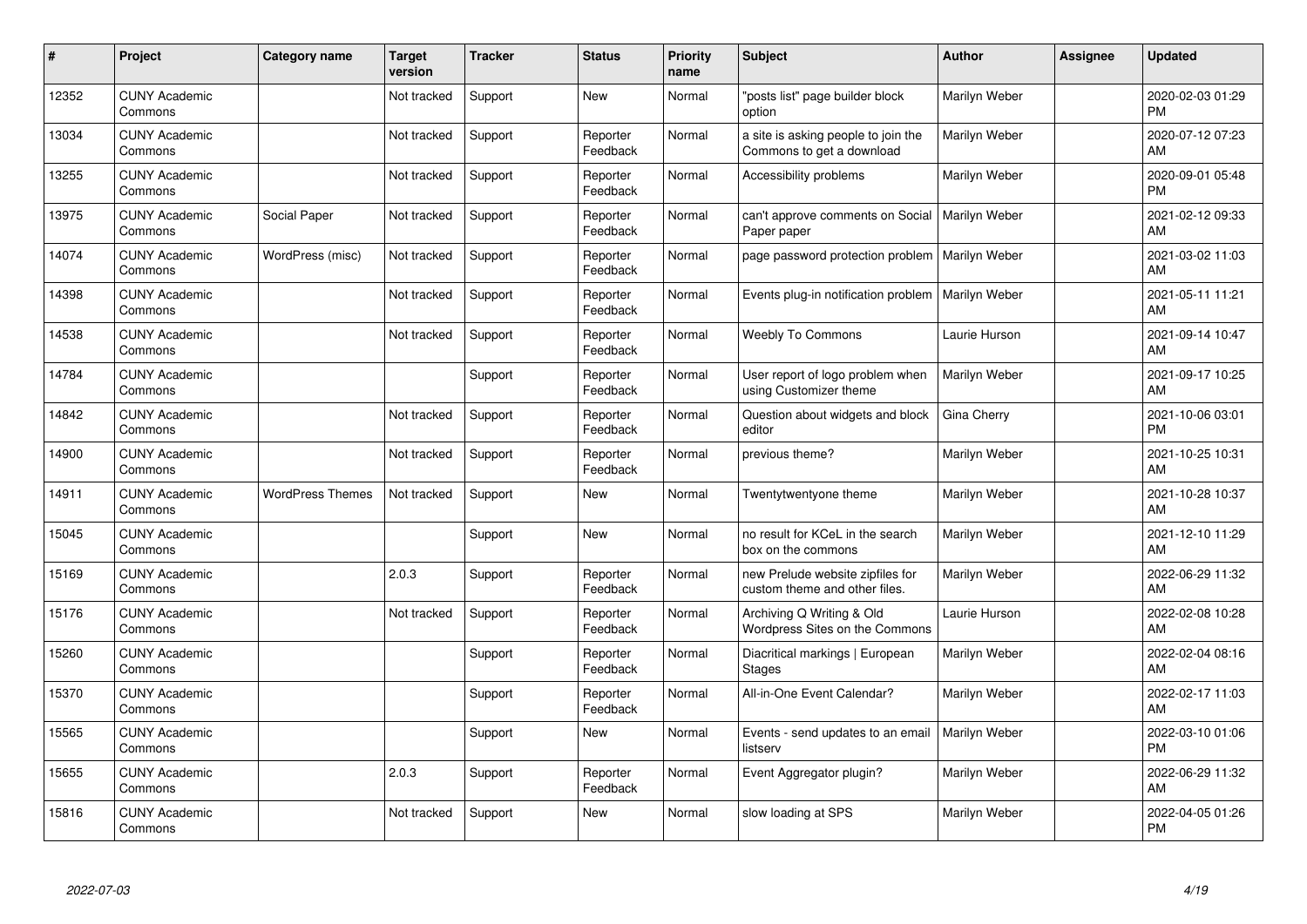| #     | Project                         | <b>Category name</b>    | <b>Target</b><br>version | <b>Tracker</b> | <b>Status</b>        | <b>Priority</b><br>name | <b>Subject</b>                                                    | <b>Author</b> | <b>Assignee</b> | <b>Updated</b>                |
|-------|---------------------------------|-------------------------|--------------------------|----------------|----------------------|-------------------------|-------------------------------------------------------------------|---------------|-----------------|-------------------------------|
| 12352 | <b>CUNY Academic</b><br>Commons |                         | Not tracked              | Support        | <b>New</b>           | Normal                  | "posts list" page builder block<br>option                         | Marilyn Weber |                 | 2020-02-03 01:29<br><b>PM</b> |
| 13034 | <b>CUNY Academic</b><br>Commons |                         | Not tracked              | Support        | Reporter<br>Feedback | Normal                  | a site is asking people to join the<br>Commons to get a download  | Marilyn Weber |                 | 2020-07-12 07:23<br><b>AM</b> |
| 13255 | <b>CUNY Academic</b><br>Commons |                         | Not tracked              | Support        | Reporter<br>Feedback | Normal                  | Accessibility problems                                            | Marilyn Weber |                 | 2020-09-01 05:48<br><b>PM</b> |
| 13975 | <b>CUNY Academic</b><br>Commons | Social Paper            | Not tracked              | Support        | Reporter<br>Feedback | Normal                  | can't approve comments on Social<br>Paper paper                   | Marilyn Weber |                 | 2021-02-12 09:33<br>AM        |
| 14074 | <b>CUNY Academic</b><br>Commons | WordPress (misc)        | Not tracked              | Support        | Reporter<br>Feedback | Normal                  | page password protection problem                                  | Marilyn Weber |                 | 2021-03-02 11:03<br><b>AM</b> |
| 14398 | <b>CUNY Academic</b><br>Commons |                         | Not tracked              | Support        | Reporter<br>Feedback | Normal                  | Events plug-in notification problem                               | Marilyn Weber |                 | 2021-05-11 11:21<br>AM        |
| 14538 | <b>CUNY Academic</b><br>Commons |                         | Not tracked              | Support        | Reporter<br>Feedback | Normal                  | <b>Weebly To Commons</b>                                          | Laurie Hurson |                 | 2021-09-14 10:47<br>AM        |
| 14784 | <b>CUNY Academic</b><br>Commons |                         |                          | Support        | Reporter<br>Feedback | Normal                  | User report of logo problem when<br>using Customizer theme        | Marilyn Weber |                 | 2021-09-17 10:25<br>AM        |
| 14842 | <b>CUNY Academic</b><br>Commons |                         | Not tracked              | Support        | Reporter<br>Feedback | Normal                  | Question about widgets and block<br>editor                        | Gina Cherry   |                 | 2021-10-06 03:01<br><b>PM</b> |
| 14900 | <b>CUNY Academic</b><br>Commons |                         | Not tracked              | Support        | Reporter<br>Feedback | Normal                  | previous theme?                                                   | Marilyn Weber |                 | 2021-10-25 10:31<br>AM        |
| 14911 | <b>CUNY Academic</b><br>Commons | <b>WordPress Themes</b> | Not tracked              | Support        | New                  | Normal                  | Twentytwentyone theme                                             | Marilyn Weber |                 | 2021-10-28 10:37<br>AM        |
| 15045 | <b>CUNY Academic</b><br>Commons |                         |                          | Support        | <b>New</b>           | Normal                  | no result for KCeL in the search<br>box on the commons            | Marilyn Weber |                 | 2021-12-10 11:29<br>AM        |
| 15169 | <b>CUNY Academic</b><br>Commons |                         | 2.0.3                    | Support        | Reporter<br>Feedback | Normal                  | new Prelude website zipfiles for<br>custom theme and other files. | Marilyn Weber |                 | 2022-06-29 11:32<br>AM        |
| 15176 | <b>CUNY Academic</b><br>Commons |                         | Not tracked              | Support        | Reporter<br>Feedback | Normal                  | Archiving Q Writing & Old<br>Wordpress Sites on the Commons       | Laurie Hurson |                 | 2022-02-08 10:28<br><b>AM</b> |
| 15260 | <b>CUNY Academic</b><br>Commons |                         |                          | Support        | Reporter<br>Feedback | Normal                  | Diacritical markings   European<br><b>Stages</b>                  | Marilyn Weber |                 | 2022-02-04 08:16<br><b>AM</b> |
| 15370 | <b>CUNY Academic</b><br>Commons |                         |                          | Support        | Reporter<br>Feedback | Normal                  | All-in-One Event Calendar?                                        | Marilyn Weber |                 | 2022-02-17 11:03<br>AM        |
| 15565 | <b>CUNY Academic</b><br>Commons |                         |                          | Support        | New                  | Normal                  | Events - send updates to an email<br>listserv                     | Marilyn Weber |                 | 2022-03-10 01:06<br><b>PM</b> |
| 15655 | <b>CUNY Academic</b><br>Commons |                         | 2.0.3                    | Support        | Reporter<br>Feedback | Normal                  | Event Aggregator plugin?                                          | Marilyn Weber |                 | 2022-06-29 11:32<br>AM        |
| 15816 | <b>CUNY Academic</b><br>Commons |                         | Not tracked              | Support        | <b>New</b>           | Normal                  | slow loading at SPS                                               | Marilyn Weber |                 | 2022-04-05 01:26<br>PM        |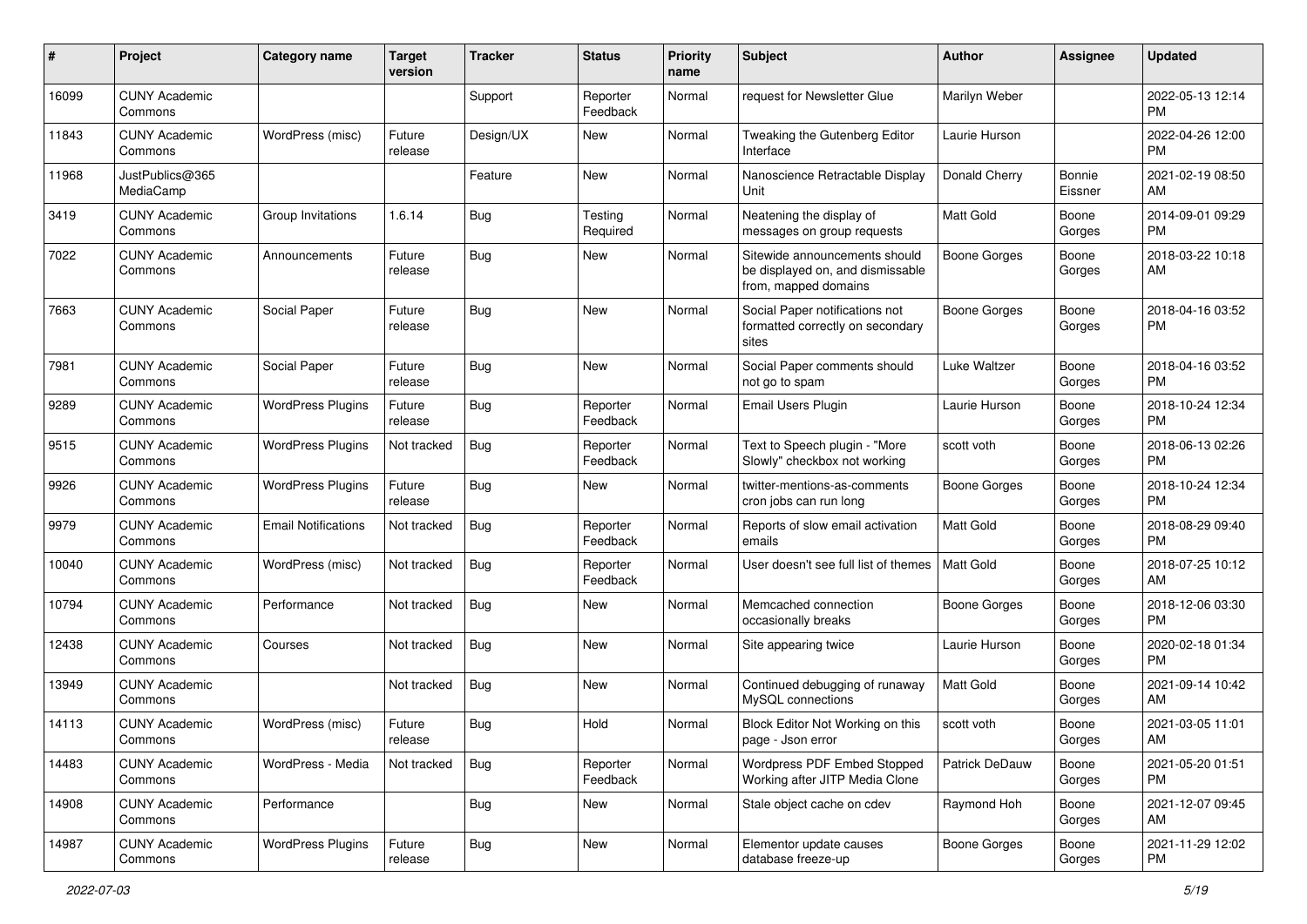| #     | Project                         | <b>Category name</b>       | <b>Target</b><br>version | <b>Tracker</b> | <b>Status</b>        | <b>Priority</b><br>name | <b>Subject</b>                                                                            | <b>Author</b>    | <b>Assignee</b>   | <b>Updated</b>                |
|-------|---------------------------------|----------------------------|--------------------------|----------------|----------------------|-------------------------|-------------------------------------------------------------------------------------------|------------------|-------------------|-------------------------------|
| 16099 | <b>CUNY Academic</b><br>Commons |                            |                          | Support        | Reporter<br>Feedback | Normal                  | request for Newsletter Glue                                                               | Marilyn Weber    |                   | 2022-05-13 12:14<br>PM.       |
| 11843 | <b>CUNY Academic</b><br>Commons | WordPress (misc)           | Future<br>release        | Design/UX      | New                  | Normal                  | Tweaking the Gutenberg Editor<br>Interface                                                | Laurie Hurson    |                   | 2022-04-26 12:00<br><b>PM</b> |
| 11968 | JustPublics@365<br>MediaCamp    |                            |                          | Feature        | New                  | Normal                  | Nanoscience Retractable Display<br>Unit                                                   | Donald Cherry    | Bonnie<br>Eissner | 2021-02-19 08:50<br>AM        |
| 3419  | <b>CUNY Academic</b><br>Commons | Group Invitations          | 1.6.14                   | Bug            | Testing<br>Required  | Normal                  | Neatening the display of<br>messages on group requests                                    | <b>Matt Gold</b> | Boone<br>Gorges   | 2014-09-01 09:29<br><b>PM</b> |
| 7022  | <b>CUNY Academic</b><br>Commons | Announcements              | Future<br>release        | Bug            | New                  | Normal                  | Sitewide announcements should<br>be displayed on, and dismissable<br>from, mapped domains | Boone Gorges     | Boone<br>Gorges   | 2018-03-22 10:18<br>AM        |
| 7663  | <b>CUNY Academic</b><br>Commons | Social Paper               | Future<br>release        | Bug            | New                  | Normal                  | Social Paper notifications not<br>formatted correctly on secondary<br>sites               | Boone Gorges     | Boone<br>Gorges   | 2018-04-16 03:52<br>PM        |
| 7981  | <b>CUNY Academic</b><br>Commons | Social Paper               | Future<br>release        | Bug            | <b>New</b>           | Normal                  | Social Paper comments should<br>not go to spam                                            | Luke Waltzer     | Boone<br>Gorges   | 2018-04-16 03:52<br>PM.       |
| 9289  | <b>CUNY Academic</b><br>Commons | <b>WordPress Plugins</b>   | Future<br>release        | Bug            | Reporter<br>Feedback | Normal                  | <b>Email Users Plugin</b>                                                                 | Laurie Hurson    | Boone<br>Gorges   | 2018-10-24 12:34<br><b>PM</b> |
| 9515  | <b>CUNY Academic</b><br>Commons | <b>WordPress Plugins</b>   | Not tracked              | Bug            | Reporter<br>Feedback | Normal                  | Text to Speech plugin - "More<br>Slowly" checkbox not working                             | scott voth       | Boone<br>Gorges   | 2018-06-13 02:26<br><b>PM</b> |
| 9926  | <b>CUNY Academic</b><br>Commons | <b>WordPress Plugins</b>   | Future<br>release        | Bug            | New                  | Normal                  | twitter-mentions-as-comments<br>cron jobs can run long                                    | Boone Gorges     | Boone<br>Gorges   | 2018-10-24 12:34<br><b>PM</b> |
| 9979  | <b>CUNY Academic</b><br>Commons | <b>Email Notifications</b> | Not tracked              | Bug            | Reporter<br>Feedback | Normal                  | Reports of slow email activation<br>emails                                                | <b>Matt Gold</b> | Boone<br>Gorges   | 2018-08-29 09:40<br><b>PM</b> |
| 10040 | <b>CUNY Academic</b><br>Commons | WordPress (misc)           | Not tracked              | <b>Bug</b>     | Reporter<br>Feedback | Normal                  | User doesn't see full list of themes                                                      | Matt Gold        | Boone<br>Gorges   | 2018-07-25 10:12<br>AM        |
| 10794 | <b>CUNY Academic</b><br>Commons | Performance                | Not tracked              | Bug            | New                  | Normal                  | Memcached connection<br>occasionally breaks                                               | Boone Gorges     | Boone<br>Gorges   | 2018-12-06 03:30<br><b>PM</b> |
| 12438 | <b>CUNY Academic</b><br>Commons | Courses                    | Not tracked              | <b>Bug</b>     | New                  | Normal                  | Site appearing twice                                                                      | Laurie Hurson    | Boone<br>Gorges   | 2020-02-18 01:34<br><b>PM</b> |
| 13949 | <b>CUNY Academic</b><br>Commons |                            | Not tracked              | Bug            | New                  | Normal                  | Continued debugging of runaway<br>MySQL connections                                       | <b>Matt Gold</b> | Boone<br>Gorges   | 2021-09-14 10:42<br>AM        |
| 14113 | <b>CUNY Academic</b><br>Commons | WordPress (misc)           | Future<br>release        | Bug            | Hold                 | Normal                  | Block Editor Not Working on this<br>page - Json error                                     | scott voth       | Boone<br>Gorges   | 2021-03-05 11:01<br>AM        |
| 14483 | <b>CUNY Academic</b><br>Commons | WordPress - Media          | Not tracked              | Bug            | Reporter<br>Feedback | Normal                  | Wordpress PDF Embed Stopped<br>Working after JITP Media Clone                             | Patrick DeDauw   | Boone<br>Gorges   | 2021-05-20 01:51<br>PM.       |
| 14908 | <b>CUNY Academic</b><br>Commons | Performance                |                          | <b>Bug</b>     | New                  | Normal                  | Stale object cache on cdev                                                                | Raymond Hoh      | Boone<br>Gorges   | 2021-12-07 09:45<br>AM        |
| 14987 | <b>CUNY Academic</b><br>Commons | <b>WordPress Plugins</b>   | Future<br>release        | <b>Bug</b>     | New                  | Normal                  | Elementor update causes<br>database freeze-up                                             | Boone Gorges     | Boone<br>Gorges   | 2021-11-29 12:02<br>PM        |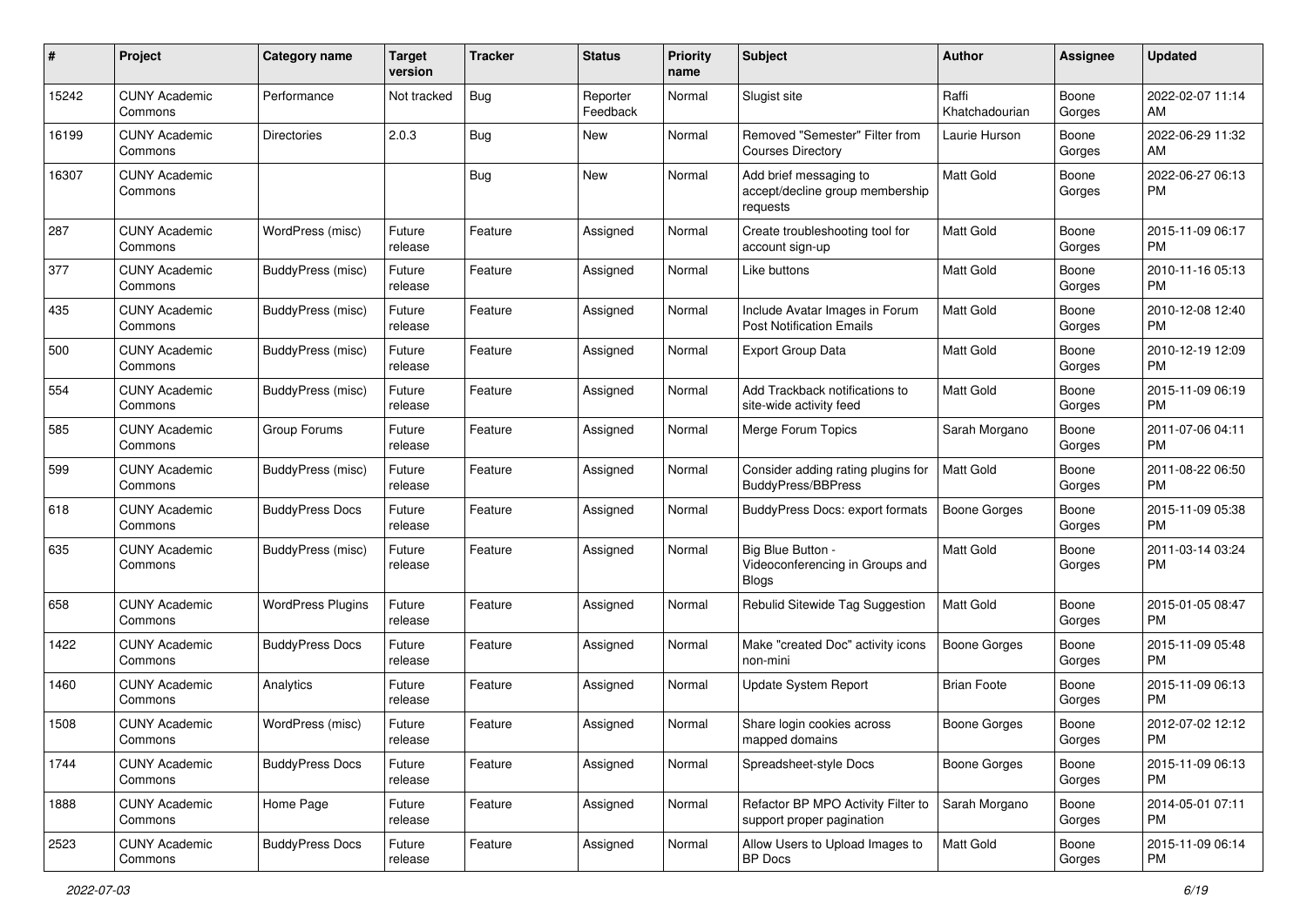| #     | Project                         | <b>Category name</b>     | <b>Target</b><br>version | <b>Tracker</b> | <b>Status</b>        | Priority<br>name | <b>Subject</b>                                                        | <b>Author</b>           | <b>Assignee</b> | <b>Updated</b>                |
|-------|---------------------------------|--------------------------|--------------------------|----------------|----------------------|------------------|-----------------------------------------------------------------------|-------------------------|-----------------|-------------------------------|
| 15242 | <b>CUNY Academic</b><br>Commons | Performance              | Not tracked              | Bug            | Reporter<br>Feedback | Normal           | Slugist site                                                          | Raffi<br>Khatchadourian | Boone<br>Gorges | 2022-02-07 11:14<br>AM.       |
| 16199 | <b>CUNY Academic</b><br>Commons | <b>Directories</b>       | 2.0.3                    | <b>Bug</b>     | New                  | Normal           | Removed "Semester" Filter from<br><b>Courses Directory</b>            | Laurie Hurson           | Boone<br>Gorges | 2022-06-29 11:32<br>AM.       |
| 16307 | <b>CUNY Academic</b><br>Commons |                          |                          | Bug            | New                  | Normal           | Add brief messaging to<br>accept/decline group membership<br>requests | Matt Gold               | Boone<br>Gorges | 2022-06-27 06:13<br>PM.       |
| 287   | <b>CUNY Academic</b><br>Commons | WordPress (misc)         | Future<br>release        | Feature        | Assigned             | Normal           | Create troubleshooting tool for<br>account sign-up                    | Matt Gold               | Boone<br>Gorges | 2015-11-09 06:17<br>PM.       |
| 377   | <b>CUNY Academic</b><br>Commons | BuddyPress (misc)        | Future<br>release        | Feature        | Assigned             | Normal           | Like buttons                                                          | <b>Matt Gold</b>        | Boone<br>Gorges | 2010-11-16 05:13<br>PM.       |
| 435   | <b>CUNY Academic</b><br>Commons | <b>BuddyPress (misc)</b> | Future<br>release        | Feature        | Assigned             | Normal           | Include Avatar Images in Forum<br><b>Post Notification Emails</b>     | <b>Matt Gold</b>        | Boone<br>Gorges | 2010-12-08 12:40<br><b>PM</b> |
| 500   | <b>CUNY Academic</b><br>Commons | <b>BuddyPress (misc)</b> | Future<br>release        | Feature        | Assigned             | Normal           | <b>Export Group Data</b>                                              | Matt Gold               | Boone<br>Gorges | 2010-12-19 12:09<br><b>PM</b> |
| 554   | <b>CUNY Academic</b><br>Commons | <b>BuddyPress (misc)</b> | Future<br>release        | Feature        | Assigned             | Normal           | Add Trackback notifications to<br>site-wide activity feed             | Matt Gold               | Boone<br>Gorges | 2015-11-09 06:19<br><b>PM</b> |
| 585   | <b>CUNY Academic</b><br>Commons | Group Forums             | Future<br>release        | Feature        | Assigned             | Normal           | Merge Forum Topics                                                    | Sarah Morgano           | Boone<br>Gorges | 2011-07-06 04:11<br>PM.       |
| 599   | <b>CUNY Academic</b><br>Commons | BuddyPress (misc)        | Future<br>release        | Feature        | Assigned             | Normal           | Consider adding rating plugins for<br><b>BuddyPress/BBPress</b>       | Matt Gold               | Boone<br>Gorges | 2011-08-22 06:50<br><b>PM</b> |
| 618   | <b>CUNY Academic</b><br>Commons | <b>BuddyPress Docs</b>   | Future<br>release        | Feature        | Assigned             | Normal           | BuddyPress Docs: export formats                                       | Boone Gorges            | Boone<br>Gorges | 2015-11-09 05:38<br>PM.       |
| 635   | <b>CUNY Academic</b><br>Commons | BuddyPress (misc)        | Future<br>release        | Feature        | Assigned             | Normal           | Big Blue Button -<br>Videoconferencing in Groups and<br><b>Blogs</b>  | Matt Gold               | Boone<br>Gorges | 2011-03-14 03:24<br>PM        |
| 658   | <b>CUNY Academic</b><br>Commons | <b>WordPress Plugins</b> | Future<br>release        | Feature        | Assigned             | Normal           | Rebulid Sitewide Tag Suggestion                                       | Matt Gold               | Boone<br>Gorges | 2015-01-05 08:47<br>PM        |
| 1422  | <b>CUNY Academic</b><br>Commons | <b>BuddyPress Docs</b>   | Future<br>release        | Feature        | Assigned             | Normal           | Make "created Doc" activity icons<br>non-mini                         | Boone Gorges            | Boone<br>Gorges | 2015-11-09 05:48<br>PM.       |
| 1460  | <b>CUNY Academic</b><br>Commons | Analytics                | Future<br>release        | Feature        | Assigned             | Normal           | Update System Report                                                  | <b>Brian Foote</b>      | Boone<br>Gorges | 2015-11-09 06:13<br>PM.       |
| 1508  | <b>CUNY Academic</b><br>Commons | WordPress (misc)         | Future<br>release        | Feature        | Assigned             | Normal           | Share login cookies across<br>mapped domains                          | Boone Gorges            | Boone<br>Gorges | 2012-07-02 12:12<br>PM        |
| 1744  | <b>CUNY Academic</b><br>Commons | <b>BuddyPress Docs</b>   | Future<br>release        | Feature        | Assigned             | Normal           | Spreadsheet-style Docs                                                | Boone Gorges            | Boone<br>Gorges | 2015-11-09 06:13<br>PM.       |
| 1888  | <b>CUNY Academic</b><br>Commons | Home Page                | Future<br>release        | Feature        | Assigned             | Normal           | Refactor BP MPO Activity Filter to<br>support proper pagination       | Sarah Morgano           | Boone<br>Gorges | 2014-05-01 07:11<br><b>PM</b> |
| 2523  | <b>CUNY Academic</b><br>Commons | <b>BuddyPress Docs</b>   | Future<br>release        | Feature        | Assigned             | Normal           | Allow Users to Upload Images to<br>BP Docs                            | Matt Gold               | Boone<br>Gorges | 2015-11-09 06:14<br><b>PM</b> |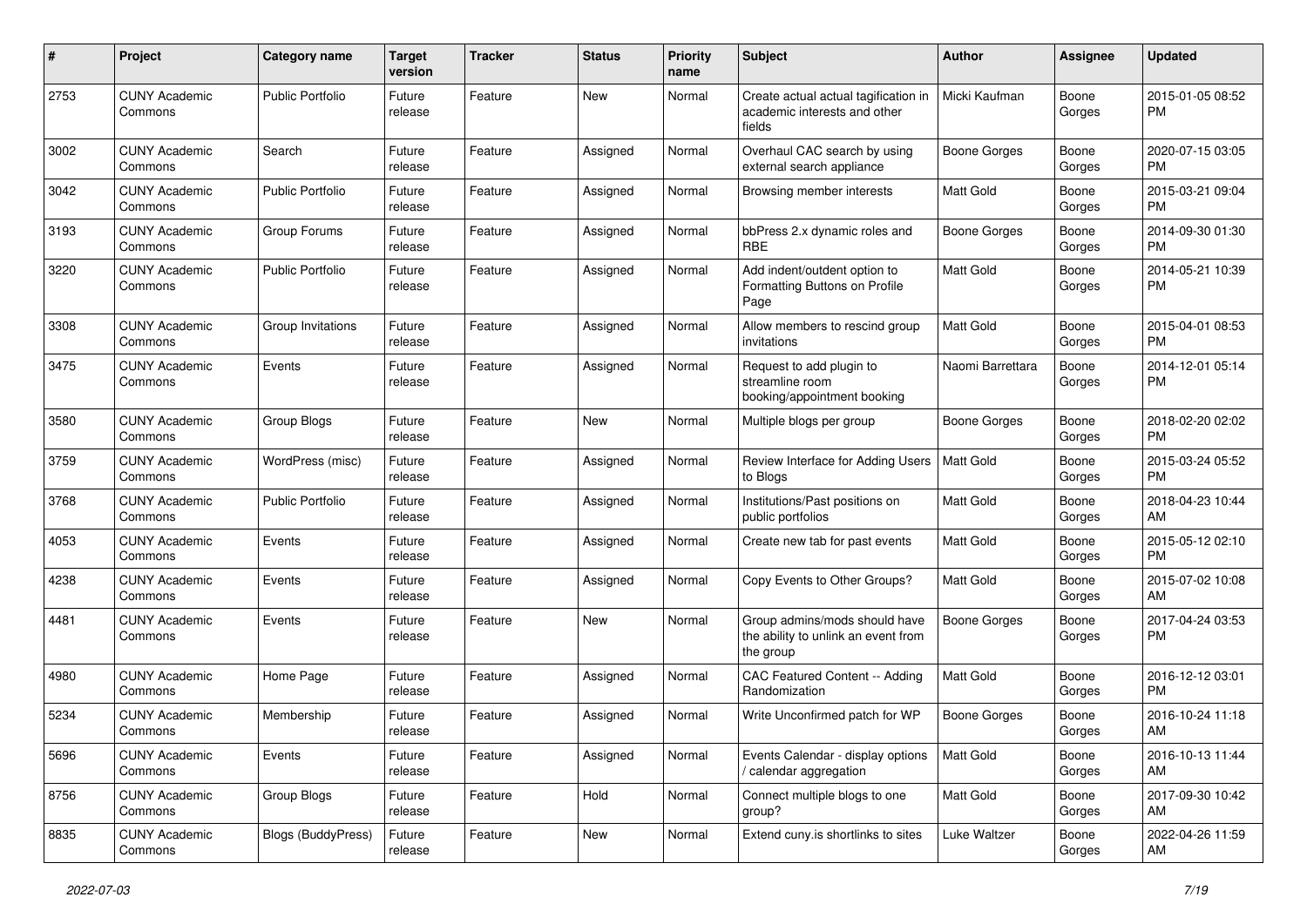| #    | Project                         | <b>Category name</b>      | <b>Target</b><br>version | <b>Tracker</b> | <b>Status</b> | Priority<br>name | <b>Subject</b>                                                                    | <b>Author</b>       | <b>Assignee</b> | <b>Updated</b>                |
|------|---------------------------------|---------------------------|--------------------------|----------------|---------------|------------------|-----------------------------------------------------------------------------------|---------------------|-----------------|-------------------------------|
| 2753 | <b>CUNY Academic</b><br>Commons | Public Portfolio          | Future<br>release        | Feature        | New           | Normal           | Create actual actual tagification in<br>academic interests and other<br>fields    | Micki Kaufman       | Boone<br>Gorges | 2015-01-05 08:52<br>PM.       |
| 3002 | <b>CUNY Academic</b><br>Commons | Search                    | Future<br>release        | Feature        | Assigned      | Normal           | Overhaul CAC search by using<br>external search appliance                         | <b>Boone Gorges</b> | Boone<br>Gorges | 2020-07-15 03:05<br>PM.       |
| 3042 | <b>CUNY Academic</b><br>Commons | <b>Public Portfolio</b>   | Future<br>release        | Feature        | Assigned      | Normal           | Browsing member interests                                                         | <b>Matt Gold</b>    | Boone<br>Gorges | 2015-03-21 09:04<br><b>PM</b> |
| 3193 | <b>CUNY Academic</b><br>Commons | Group Forums              | Future<br>release        | Feature        | Assigned      | Normal           | bbPress 2.x dynamic roles and<br><b>RBE</b>                                       | <b>Boone Gorges</b> | Boone<br>Gorges | 2014-09-30 01:30<br><b>PM</b> |
| 3220 | <b>CUNY Academic</b><br>Commons | <b>Public Portfolio</b>   | Future<br>release        | Feature        | Assigned      | Normal           | Add indent/outdent option to<br>Formatting Buttons on Profile<br>Page             | <b>Matt Gold</b>    | Boone<br>Gorges | 2014-05-21 10:39<br><b>PM</b> |
| 3308 | <b>CUNY Academic</b><br>Commons | Group Invitations         | Future<br>release        | Feature        | Assigned      | Normal           | Allow members to rescind group<br>invitations                                     | Matt Gold           | Boone<br>Gorges | 2015-04-01 08:53<br>PM.       |
| 3475 | <b>CUNY Academic</b><br>Commons | Events                    | Future<br>release        | Feature        | Assigned      | Normal           | Request to add plugin to<br>streamline room<br>booking/appointment booking        | Naomi Barrettara    | Boone<br>Gorges | 2014-12-01 05:14<br>PM.       |
| 3580 | <b>CUNY Academic</b><br>Commons | Group Blogs               | Future<br>release        | Feature        | New           | Normal           | Multiple blogs per group                                                          | Boone Gorges        | Boone<br>Gorges | 2018-02-20 02:02<br>PM.       |
| 3759 | <b>CUNY Academic</b><br>Commons | WordPress (misc)          | Future<br>release        | Feature        | Assigned      | Normal           | Review Interface for Adding Users<br>to Blogs                                     | <b>Matt Gold</b>    | Boone<br>Gorges | 2015-03-24 05:52<br><b>PM</b> |
| 3768 | <b>CUNY Academic</b><br>Commons | <b>Public Portfolio</b>   | Future<br>release        | Feature        | Assigned      | Normal           | Institutions/Past positions on<br>public portfolios                               | Matt Gold           | Boone<br>Gorges | 2018-04-23 10:44<br>AM.       |
| 4053 | <b>CUNY Academic</b><br>Commons | Events                    | Future<br>release        | Feature        | Assigned      | Normal           | Create new tab for past events                                                    | <b>Matt Gold</b>    | Boone<br>Gorges | 2015-05-12 02:10<br>PM.       |
| 4238 | <b>CUNY Academic</b><br>Commons | Events                    | Future<br>release        | Feature        | Assigned      | Normal           | Copy Events to Other Groups?                                                      | <b>Matt Gold</b>    | Boone<br>Gorges | 2015-07-02 10:08<br>AM        |
| 4481 | <b>CUNY Academic</b><br>Commons | Events                    | Future<br>release        | Feature        | New           | Normal           | Group admins/mods should have<br>the ability to unlink an event from<br>the group | <b>Boone Gorges</b> | Boone<br>Gorges | 2017-04-24 03:53<br><b>PM</b> |
| 4980 | <b>CUNY Academic</b><br>Commons | Home Page                 | Future<br>release        | Feature        | Assigned      | Normal           | CAC Featured Content -- Adding<br>Randomization                                   | <b>Matt Gold</b>    | Boone<br>Gorges | 2016-12-12 03:01<br><b>PM</b> |
| 5234 | <b>CUNY Academic</b><br>Commons | Membership                | Future<br>release        | Feature        | Assigned      | Normal           | Write Unconfirmed patch for WP                                                    | Boone Gorges        | Boone<br>Gorges | 2016-10-24 11:18<br>AM        |
| 5696 | <b>CUNY Academic</b><br>Commons | Events                    | Future<br>release        | Feature        | Assigned      | Normal           | Events Calendar - display options<br>/ calendar aggregation                       | <b>Matt Gold</b>    | Boone<br>Gorges | 2016-10-13 11:44<br>AM        |
| 8756 | <b>CUNY Academic</b><br>Commons | Group Blogs               | Future<br>release        | Feature        | Hold          | Normal           | Connect multiple blogs to one<br>group?                                           | Matt Gold           | Boone<br>Gorges | 2017-09-30 10:42<br>AM        |
| 8835 | <b>CUNY Academic</b><br>Commons | <b>Blogs (BuddyPress)</b> | Future<br>release        | Feature        | New           | Normal           | Extend cuny.is shortlinks to sites                                                | Luke Waltzer        | Boone<br>Gorges | 2022-04-26 11:59<br>AM        |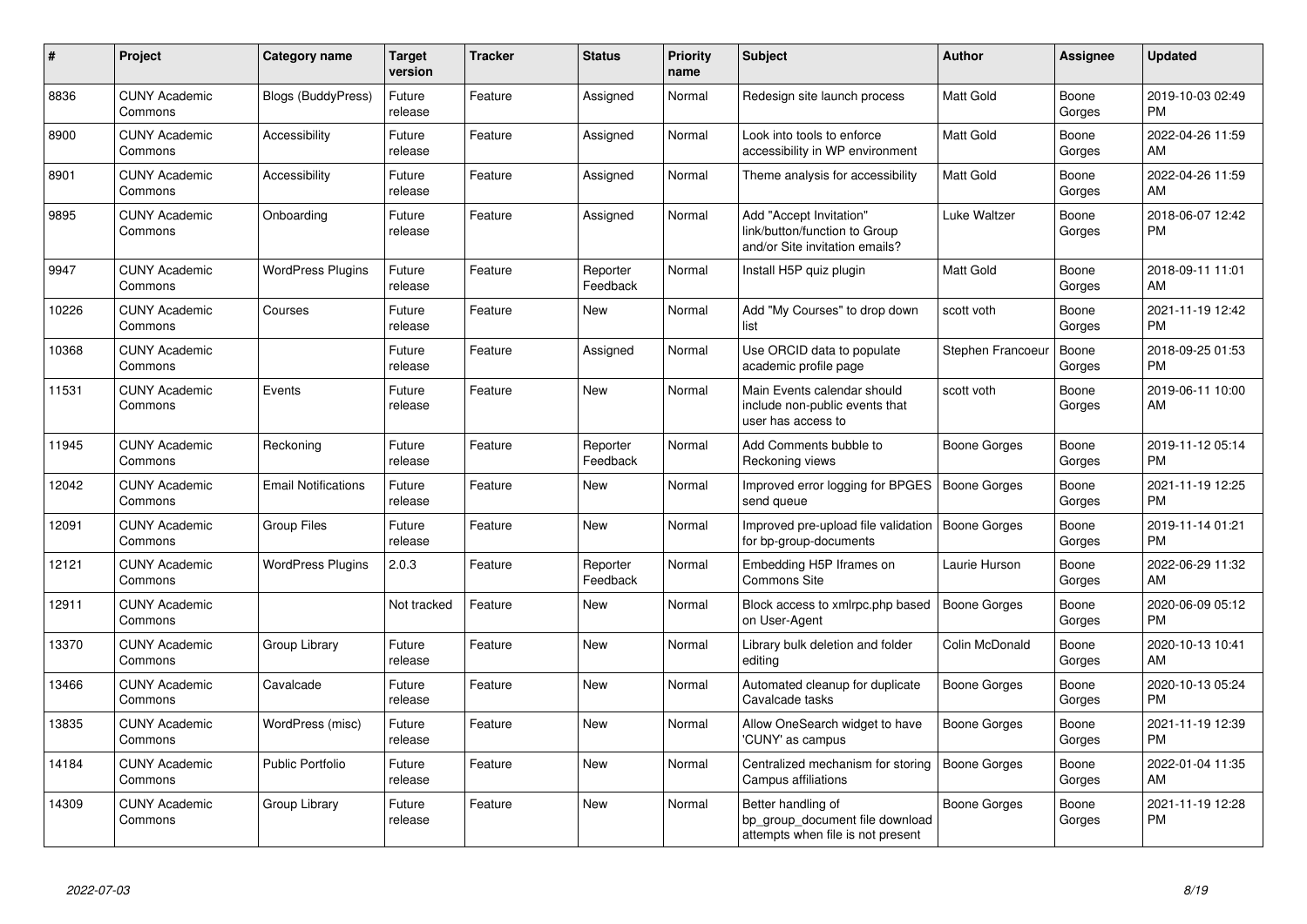| #     | <b>Project</b>                  | <b>Category name</b>       | <b>Target</b><br>version | <b>Tracker</b> | <b>Status</b>        | <b>Priority</b><br>name | <b>Subject</b>                                                                             | <b>Author</b>       | Assignee        | <b>Updated</b>                |
|-------|---------------------------------|----------------------------|--------------------------|----------------|----------------------|-------------------------|--------------------------------------------------------------------------------------------|---------------------|-----------------|-------------------------------|
| 8836  | <b>CUNY Academic</b><br>Commons | <b>Blogs (BuddyPress)</b>  | Future<br>release        | Feature        | Assigned             | Normal                  | Redesign site launch process                                                               | <b>Matt Gold</b>    | Boone<br>Gorges | 2019-10-03 02:49<br><b>PM</b> |
| 8900  | <b>CUNY Academic</b><br>Commons | Accessibility              | Future<br>release        | Feature        | Assigned             | Normal                  | Look into tools to enforce<br>accessibility in WP environment                              | <b>Matt Gold</b>    | Boone<br>Gorges | 2022-04-26 11:59<br>AM        |
| 8901  | <b>CUNY Academic</b><br>Commons | Accessibility              | Future<br>release        | Feature        | Assigned             | Normal                  | Theme analysis for accessibility                                                           | <b>Matt Gold</b>    | Boone<br>Gorges | 2022-04-26 11:59<br>AM        |
| 9895  | <b>CUNY Academic</b><br>Commons | Onboarding                 | Future<br>release        | Feature        | Assigned             | Normal                  | Add "Accept Invitation"<br>link/button/function to Group<br>and/or Site invitation emails? | Luke Waltzer        | Boone<br>Gorges | 2018-06-07 12:42<br><b>PM</b> |
| 9947  | <b>CUNY Academic</b><br>Commons | <b>WordPress Plugins</b>   | Future<br>release        | Feature        | Reporter<br>Feedback | Normal                  | Install H5P quiz plugin                                                                    | <b>Matt Gold</b>    | Boone<br>Gorges | 2018-09-11 11:01<br>AM        |
| 10226 | <b>CUNY Academic</b><br>Commons | Courses                    | Future<br>release        | Feature        | New                  | Normal                  | Add "My Courses" to drop down<br>list                                                      | scott voth          | Boone<br>Gorges | 2021-11-19 12:42<br><b>PM</b> |
| 10368 | <b>CUNY Academic</b><br>Commons |                            | Future<br>release        | Feature        | Assigned             | Normal                  | Use ORCID data to populate<br>academic profile page                                        | Stephen Francoeu    | Boone<br>Gorges | 2018-09-25 01:53<br><b>PM</b> |
| 11531 | <b>CUNY Academic</b><br>Commons | Events                     | Future<br>release        | Feature        | <b>New</b>           | Normal                  | Main Events calendar should<br>include non-public events that<br>user has access to        | scott voth          | Boone<br>Gorges | 2019-06-11 10:00<br>AM        |
| 11945 | <b>CUNY Academic</b><br>Commons | Reckoning                  | Future<br>release        | Feature        | Reporter<br>Feedback | Normal                  | Add Comments bubble to<br>Reckoning views                                                  | <b>Boone Gorges</b> | Boone<br>Gorges | 2019-11-12 05:14<br><b>PM</b> |
| 12042 | <b>CUNY Academic</b><br>Commons | <b>Email Notifications</b> | Future<br>release        | Feature        | New                  | Normal                  | Improved error logging for BPGES<br>send queue                                             | <b>Boone Gorges</b> | Boone<br>Gorges | 2021-11-19 12:25<br><b>PM</b> |
| 12091 | <b>CUNY Academic</b><br>Commons | <b>Group Files</b>         | Future<br>release        | Feature        | New                  | Normal                  | Improved pre-upload file validation   Boone Gorges<br>for bp-group-documents               |                     | Boone<br>Gorges | 2019-11-14 01:21<br><b>PM</b> |
| 12121 | <b>CUNY Academic</b><br>Commons | <b>WordPress Plugins</b>   | 2.0.3                    | Feature        | Reporter<br>Feedback | Normal                  | Embedding H5P Iframes on<br>Commons Site                                                   | Laurie Hurson       | Boone<br>Gorges | 2022-06-29 11:32<br>AM        |
| 12911 | <b>CUNY Academic</b><br>Commons |                            | Not tracked              | Feature        | <b>New</b>           | Normal                  | Block access to xmlrpc.php based<br>on User-Agent                                          | Boone Gorges        | Boone<br>Gorges | 2020-06-09 05:12<br><b>PM</b> |
| 13370 | <b>CUNY Academic</b><br>Commons | Group Library              | Future<br>release        | Feature        | <b>New</b>           | Normal                  | Library bulk deletion and folder<br>editing                                                | Colin McDonald      | Boone<br>Gorges | 2020-10-13 10:41<br>AM        |
| 13466 | <b>CUNY Academic</b><br>Commons | Cavalcade                  | Future<br>release        | Feature        | New                  | Normal                  | Automated cleanup for duplicate<br>Cavalcade tasks                                         | Boone Gorges        | Boone<br>Gorges | 2020-10-13 05:24<br><b>PM</b> |
| 13835 | <b>CUNY Academic</b><br>Commons | WordPress (misc)           | Future<br>release        | Feature        | New                  | Normal                  | Allow OneSearch widget to have<br>'CUNY' as campus                                         | Boone Gorges        | Boone<br>Gorges | 2021-11-19 12:39<br><b>PM</b> |
| 14184 | <b>CUNY Academic</b><br>Commons | <b>Public Portfolio</b>    | Future<br>release        | Feature        | New                  | Normal                  | Centralized mechanism for storing<br>Campus affiliations                                   | <b>Boone Gorges</b> | Boone<br>Gorges | 2022-01-04 11:35<br>AM        |
| 14309 | <b>CUNY Academic</b><br>Commons | Group Library              | Future<br>release        | Feature        | <b>New</b>           | Normal                  | Better handling of<br>bp_group_document file download<br>attempts when file is not present | <b>Boone Gorges</b> | Boone<br>Gorges | 2021-11-19 12:28<br><b>PM</b> |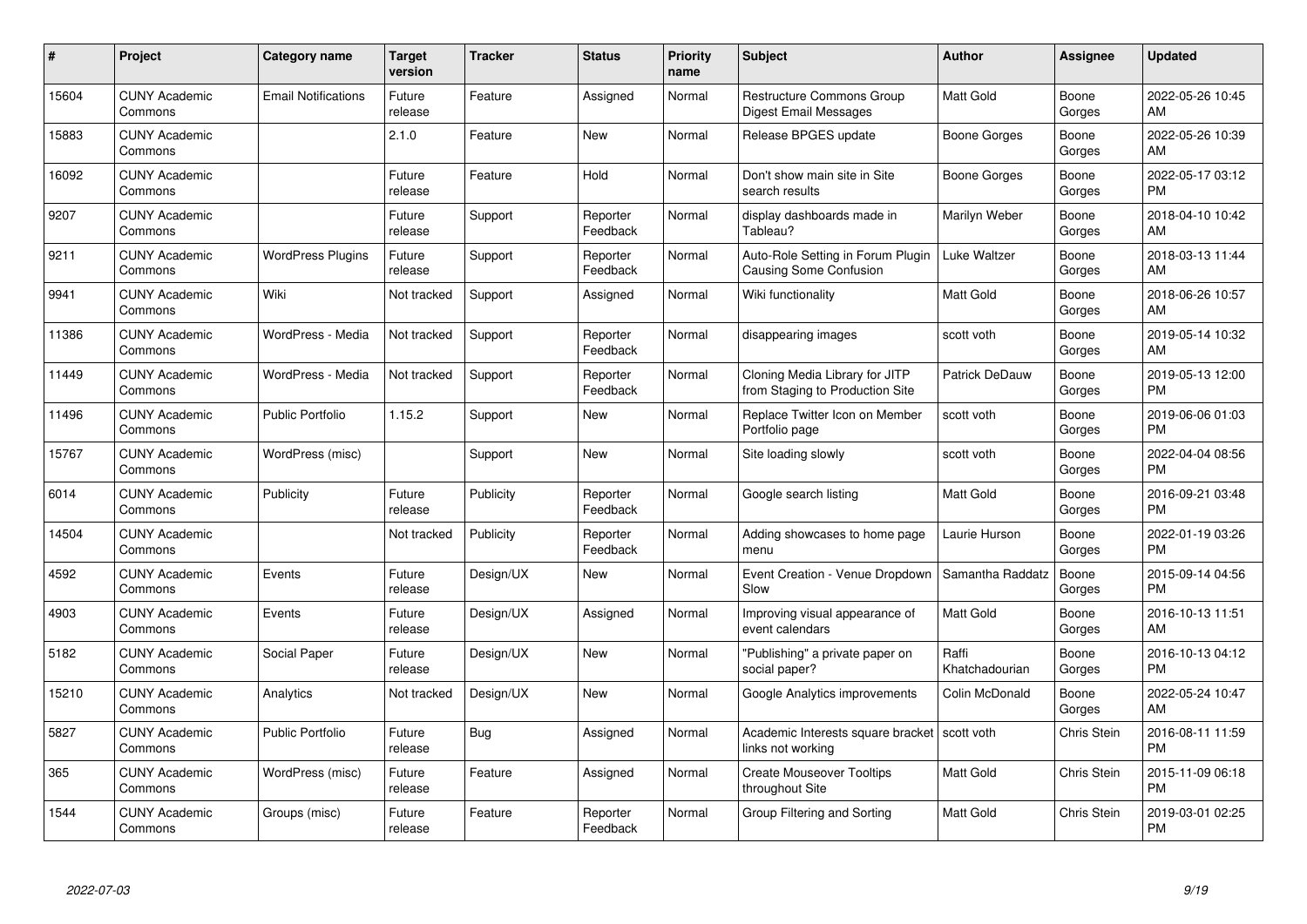| #     | <b>Project</b>                  | Category name              | Target<br>version | <b>Tracker</b> | <b>Status</b>        | <b>Priority</b><br>name | <b>Subject</b>                                                    | <b>Author</b>           | Assignee           | <b>Updated</b>                |
|-------|---------------------------------|----------------------------|-------------------|----------------|----------------------|-------------------------|-------------------------------------------------------------------|-------------------------|--------------------|-------------------------------|
| 15604 | <b>CUNY Academic</b><br>Commons | <b>Email Notifications</b> | Future<br>release | Feature        | Assigned             | Normal                  | <b>Restructure Commons Group</b><br>Digest Email Messages         | <b>Matt Gold</b>        | Boone<br>Gorges    | 2022-05-26 10:45<br>AM.       |
| 15883 | <b>CUNY Academic</b><br>Commons |                            | 2.1.0             | Feature        | New                  | Normal                  | Release BPGES update                                              | Boone Gorges            | Boone<br>Gorges    | 2022-05-26 10:39<br><b>AM</b> |
| 16092 | <b>CUNY Academic</b><br>Commons |                            | Future<br>release | Feature        | Hold                 | Normal                  | Don't show main site in Site<br>search results                    | Boone Gorges            | Boone<br>Gorges    | 2022-05-17 03:12<br><b>PM</b> |
| 9207  | <b>CUNY Academic</b><br>Commons |                            | Future<br>release | Support        | Reporter<br>Feedback | Normal                  | display dashboards made in<br>Tableau?                            | Marilyn Weber           | Boone<br>Gorges    | 2018-04-10 10:42<br>AM        |
| 9211  | <b>CUNY Academic</b><br>Commons | <b>WordPress Plugins</b>   | Future<br>release | Support        | Reporter<br>Feedback | Normal                  | Auto-Role Setting in Forum Plugin<br>Causing Some Confusion       | Luke Waltzer            | Boone<br>Gorges    | 2018-03-13 11:44<br>AM        |
| 9941  | <b>CUNY Academic</b><br>Commons | Wiki                       | Not tracked       | Support        | Assigned             | Normal                  | Wiki functionality                                                | <b>Matt Gold</b>        | Boone<br>Gorges    | 2018-06-26 10:57<br><b>AM</b> |
| 11386 | <b>CUNY Academic</b><br>Commons | WordPress - Media          | Not tracked       | Support        | Reporter<br>Feedback | Normal                  | disappearing images                                               | scott voth              | Boone<br>Gorges    | 2019-05-14 10:32<br>AM        |
| 11449 | <b>CUNY Academic</b><br>Commons | WordPress - Media          | Not tracked       | Support        | Reporter<br>Feedback | Normal                  | Cloning Media Library for JITP<br>from Staging to Production Site | <b>Patrick DeDauw</b>   | Boone<br>Gorges    | 2019-05-13 12:00<br><b>PM</b> |
| 11496 | <b>CUNY Academic</b><br>Commons | <b>Public Portfolio</b>    | 1.15.2            | Support        | <b>New</b>           | Normal                  | Replace Twitter Icon on Member<br>Portfolio page                  | scott voth              | Boone<br>Gorges    | 2019-06-06 01:03<br><b>PM</b> |
| 15767 | <b>CUNY Academic</b><br>Commons | WordPress (misc)           |                   | Support        | <b>New</b>           | Normal                  | Site loading slowly                                               | scott voth              | Boone<br>Gorges    | 2022-04-04 08:56<br><b>PM</b> |
| 6014  | <b>CUNY Academic</b><br>Commons | Publicity                  | Future<br>release | Publicity      | Reporter<br>Feedback | Normal                  | Google search listing                                             | Matt Gold               | Boone<br>Gorges    | 2016-09-21 03:48<br><b>PM</b> |
| 14504 | <b>CUNY Academic</b><br>Commons |                            | Not tracked       | Publicity      | Reporter<br>Feedback | Normal                  | Adding showcases to home page<br>menu                             | Laurie Hurson           | Boone<br>Gorges    | 2022-01-19 03:26<br><b>PM</b> |
| 4592  | <b>CUNY Academic</b><br>Commons | Events                     | Future<br>release | Design/UX      | New                  | Normal                  | Event Creation - Venue Dropdown<br>Slow                           | Samantha Raddatz        | Boone<br>Gorges    | 2015-09-14 04:56<br><b>PM</b> |
| 4903  | <b>CUNY Academic</b><br>Commons | Events                     | Future<br>release | Design/UX      | Assigned             | Normal                  | Improving visual appearance of<br>event calendars                 | <b>Matt Gold</b>        | Boone<br>Gorges    | 2016-10-13 11:51<br>AM        |
| 5182  | <b>CUNY Academic</b><br>Commons | Social Paper               | Future<br>release | Design/UX      | New                  | Normal                  | "Publishing" a private paper on<br>social paper?                  | Raffi<br>Khatchadourian | Boone<br>Gorges    | 2016-10-13 04:12<br><b>PM</b> |
| 15210 | <b>CUNY Academic</b><br>Commons | Analytics                  | Not tracked       | Design/UX      | <b>New</b>           | Normal                  | Google Analytics improvements                                     | Colin McDonald          | Boone<br>Gorges    | 2022-05-24 10:47<br><b>AM</b> |
| 5827  | <b>CUNY Academic</b><br>Commons | <b>Public Portfolio</b>    | Future<br>release | Bug            | Assigned             | Normal                  | Academic Interests square bracket<br>links not working            | scott voth              | Chris Stein        | 2016-08-11 11:59<br><b>PM</b> |
| 365   | <b>CUNY Academic</b><br>Commons | WordPress (misc)           | Future<br>release | Feature        | Assigned             | Normal                  | <b>Create Mouseover Tooltips</b><br>throughout Site               | Matt Gold               | Chris Stein        | 2015-11-09 06:18<br><b>PM</b> |
| 1544  | <b>CUNY Academic</b><br>Commons | Groups (misc)              | Future<br>release | Feature        | Reporter<br>Feedback | Normal                  | Group Filtering and Sorting                                       | Matt Gold               | <b>Chris Stein</b> | 2019-03-01 02:25<br>PM        |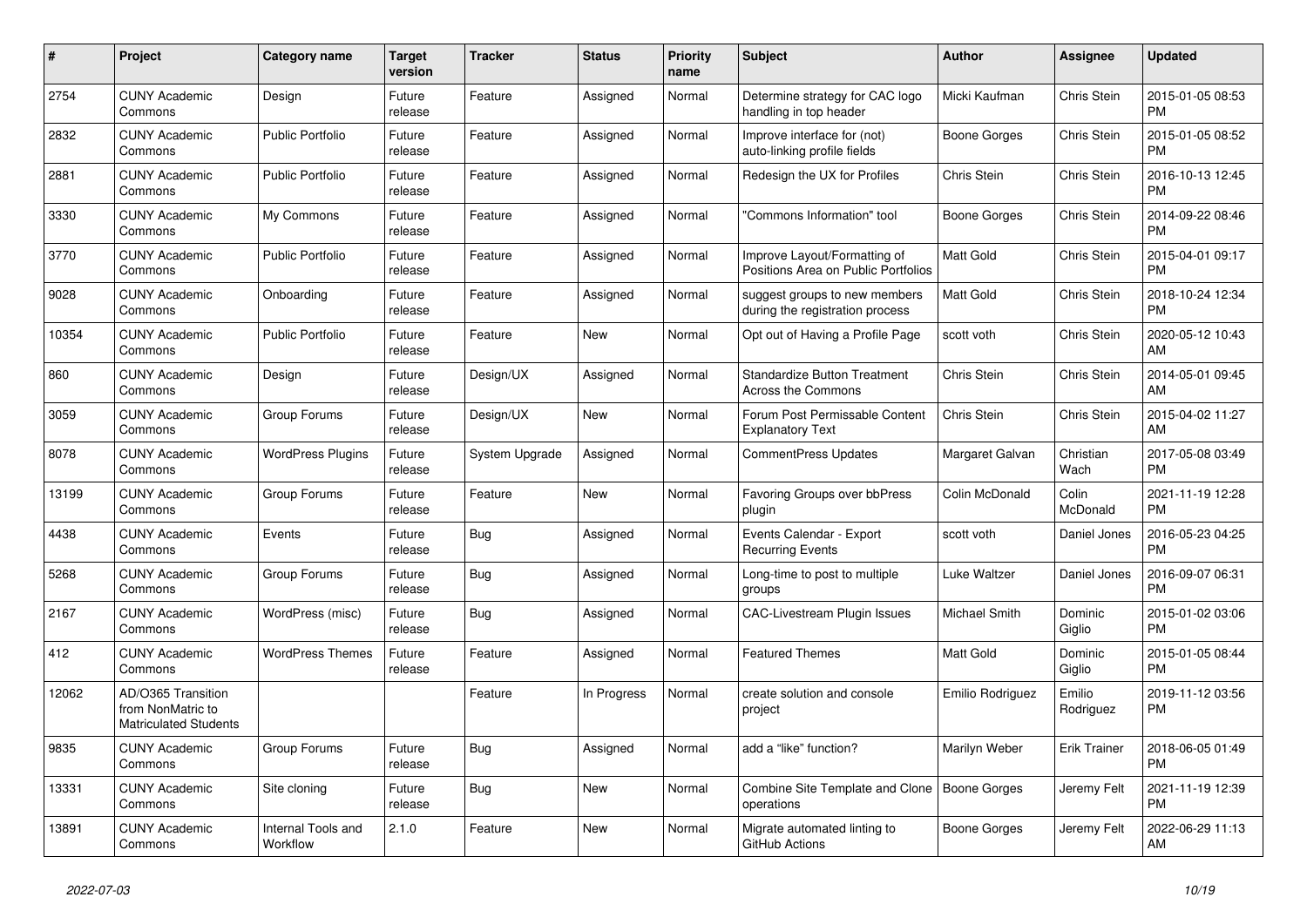| #     | Project                                                                 | Category name                  | Target<br>version | <b>Tracker</b> | <b>Status</b> | <b>Priority</b><br>name | <b>Subject</b>                                                      | Author              | Assignee            | <b>Updated</b>                |
|-------|-------------------------------------------------------------------------|--------------------------------|-------------------|----------------|---------------|-------------------------|---------------------------------------------------------------------|---------------------|---------------------|-------------------------------|
| 2754  | <b>CUNY Academic</b><br>Commons                                         | Design                         | Future<br>release | Feature        | Assigned      | Normal                  | Determine strategy for CAC logo<br>handling in top header           | Micki Kaufman       | Chris Stein         | 2015-01-05 08:53<br><b>PM</b> |
| 2832  | <b>CUNY Academic</b><br>Commons                                         | <b>Public Portfolio</b>        | Future<br>release | Feature        | Assigned      | Normal                  | Improve interface for (not)<br>auto-linking profile fields          | <b>Boone Gorges</b> | Chris Stein         | 2015-01-05 08:52<br><b>PM</b> |
| 2881  | <b>CUNY Academic</b><br>Commons                                         | <b>Public Portfolio</b>        | Future<br>release | Feature        | Assigned      | Normal                  | Redesign the UX for Profiles                                        | Chris Stein         | Chris Stein         | 2016-10-13 12:45<br><b>PM</b> |
| 3330  | <b>CUNY Academic</b><br>Commons                                         | My Commons                     | Future<br>release | Feature        | Assigned      | Normal                  | "Commons Information" tool                                          | <b>Boone Gorges</b> | Chris Stein         | 2014-09-22 08:46<br><b>PM</b> |
| 3770  | <b>CUNY Academic</b><br>Commons                                         | <b>Public Portfolio</b>        | Future<br>release | Feature        | Assigned      | Normal                  | Improve Layout/Formatting of<br>Positions Area on Public Portfolios | <b>Matt Gold</b>    | Chris Stein         | 2015-04-01 09:17<br><b>PM</b> |
| 9028  | <b>CUNY Academic</b><br>Commons                                         | Onboarding                     | Future<br>release | Feature        | Assigned      | Normal                  | suggest groups to new members<br>during the registration process    | <b>Matt Gold</b>    | Chris Stein         | 2018-10-24 12:34<br><b>PM</b> |
| 10354 | <b>CUNY Academic</b><br>Commons                                         | <b>Public Portfolio</b>        | Future<br>release | Feature        | New           | Normal                  | Opt out of Having a Profile Page                                    | scott voth          | Chris Stein         | 2020-05-12 10:43<br>AM        |
| 860   | <b>CUNY Academic</b><br>Commons                                         | Design                         | Future<br>release | Design/UX      | Assigned      | Normal                  | <b>Standardize Button Treatment</b><br>Across the Commons           | Chris Stein         | Chris Stein         | 2014-05-01 09:45<br>AM        |
| 3059  | <b>CUNY Academic</b><br>Commons                                         | Group Forums                   | Future<br>release | Design/UX      | New           | Normal                  | Forum Post Permissable Content<br><b>Explanatory Text</b>           | Chris Stein         | Chris Stein         | 2015-04-02 11:27<br>AM        |
| 8078  | <b>CUNY Academic</b><br>Commons                                         | <b>WordPress Plugins</b>       | Future<br>release | System Upgrade | Assigned      | Normal                  | <b>CommentPress Updates</b>                                         | Margaret Galvan     | Christian<br>Wach   | 2017-05-08 03:49<br><b>PM</b> |
| 13199 | <b>CUNY Academic</b><br>Commons                                         | Group Forums                   | Future<br>release | Feature        | New           | Normal                  | Favoring Groups over bbPress<br>plugin                              | Colin McDonald      | Colin<br>McDonald   | 2021-11-19 12:28<br><b>PM</b> |
| 4438  | <b>CUNY Academic</b><br>Commons                                         | Events                         | Future<br>release | Bug            | Assigned      | Normal                  | Events Calendar - Export<br><b>Recurring Events</b>                 | scott voth          | Daniel Jones        | 2016-05-23 04:25<br><b>PM</b> |
| 5268  | <b>CUNY Academic</b><br>Commons                                         | Group Forums                   | Future<br>release | <b>Bug</b>     | Assigned      | Normal                  | Long-time to post to multiple<br>groups                             | Luke Waltzer        | Daniel Jones        | 2016-09-07 06:31<br><b>PM</b> |
| 2167  | <b>CUNY Academic</b><br>Commons                                         | WordPress (misc)               | Future<br>release | Bug            | Assigned      | Normal                  | CAC-Livestream Plugin Issues                                        | Michael Smith       | Dominic<br>Giglio   | 2015-01-02 03:06<br><b>PM</b> |
| 412   | <b>CUNY Academic</b><br>Commons                                         | <b>WordPress Themes</b>        | Future<br>release | Feature        | Assigned      | Normal                  | <b>Featured Themes</b>                                              | <b>Matt Gold</b>    | Dominic<br>Giglio   | 2015-01-05 08:44<br><b>PM</b> |
| 12062 | AD/O365 Transition<br>from NonMatric to<br><b>Matriculated Students</b> |                                |                   | Feature        | In Progress   | Normal                  | create solution and console<br>project                              | Emilio Rodriguez    | Emilio<br>Rodriguez | 2019-11-12 03:56<br>PM        |
| 9835  | <b>CUNY Academic</b><br>Commons                                         | Group Forums                   | Future<br>release | <b>Bug</b>     | Assigned      | Normal                  | add a "like" function?                                              | Marilyn Weber       | <b>Erik Trainer</b> | 2018-06-05 01:49<br><b>PM</b> |
| 13331 | <b>CUNY Academic</b><br>Commons                                         | Site cloning                   | Future<br>release | Bug            | New           | Normal                  | Combine Site Template and Clone   Boone Gorges<br>operations        |                     | Jeremy Felt         | 2021-11-19 12:39<br><b>PM</b> |
| 13891 | <b>CUNY Academic</b><br>Commons                                         | Internal Tools and<br>Workflow | 2.1.0             | Feature        | New           | Normal                  | Migrate automated linting to<br>GitHub Actions                      | Boone Gorges        | Jeremy Felt         | 2022-06-29 11:13<br>AM        |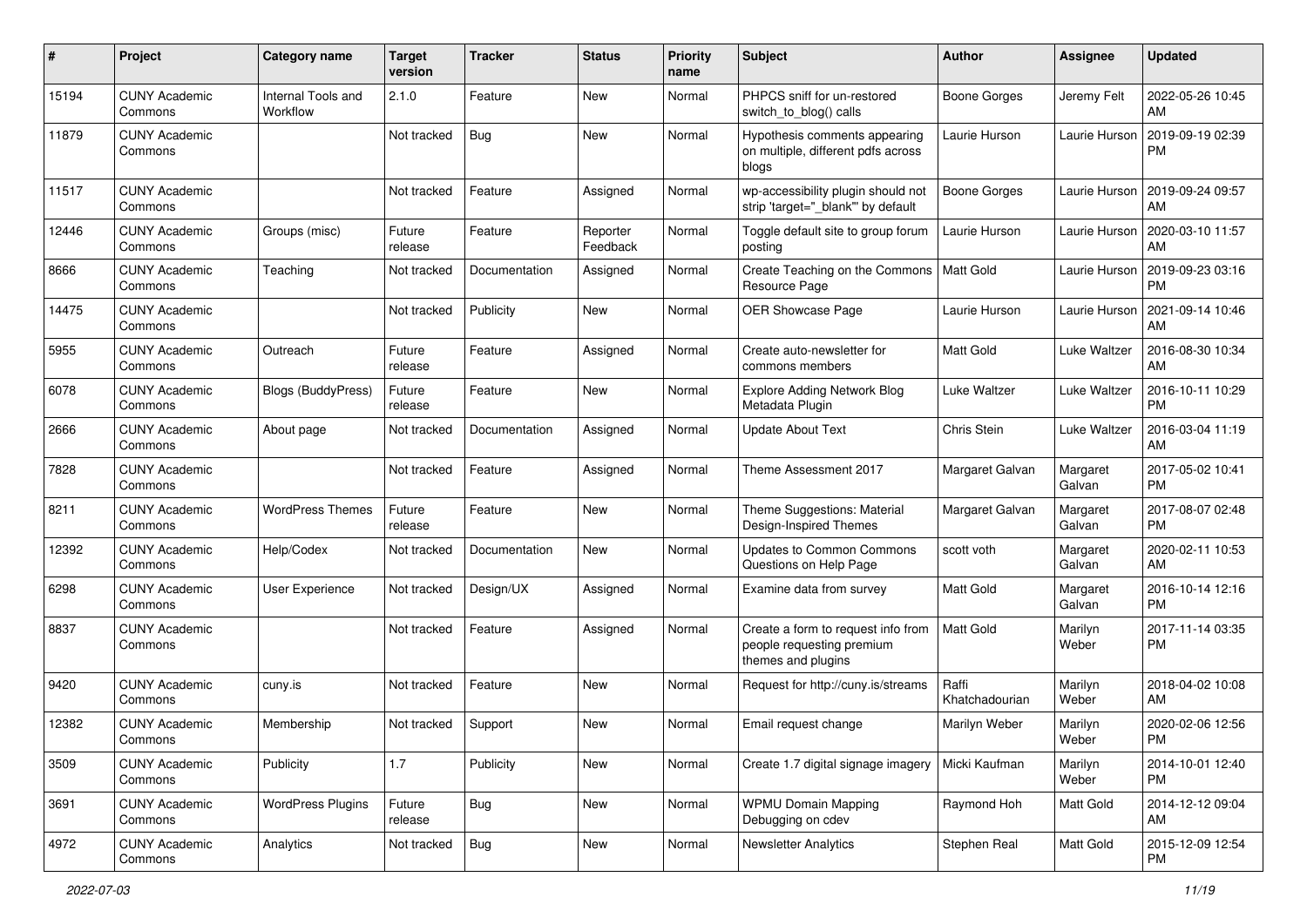| #     | Project                         | <b>Category name</b>           | <b>Target</b><br>version | <b>Tracker</b> | <b>Status</b>        | <b>Priority</b><br>name | Subject                                                                               | Author                  | <b>Assignee</b>    | <b>Updated</b>                |
|-------|---------------------------------|--------------------------------|--------------------------|----------------|----------------------|-------------------------|---------------------------------------------------------------------------------------|-------------------------|--------------------|-------------------------------|
| 15194 | <b>CUNY Academic</b><br>Commons | Internal Tools and<br>Workflow | 2.1.0                    | Feature        | New                  | Normal                  | PHPCS sniff for un-restored<br>switch to blog() calls                                 | <b>Boone Gorges</b>     | Jeremy Felt        | 2022-05-26 10:45<br>AM        |
| 11879 | <b>CUNY Academic</b><br>Commons |                                | Not tracked              | <b>Bug</b>     | New                  | Normal                  | Hypothesis comments appearing<br>on multiple, different pdfs across<br>blogs          | Laurie Hurson           | Laurie Hurson      | 2019-09-19 02:39<br><b>PM</b> |
| 11517 | <b>CUNY Academic</b><br>Commons |                                | Not tracked              | Feature        | Assigned             | Normal                  | wp-accessibility plugin should not<br>strip 'target="_blank"' by default              | <b>Boone Gorges</b>     | Laurie Hurson      | 2019-09-24 09:57<br>AM        |
| 12446 | <b>CUNY Academic</b><br>Commons | Groups (misc)                  | Future<br>release        | Feature        | Reporter<br>Feedback | Normal                  | Toggle default site to group forum<br>posting                                         | Laurie Hurson           | Laurie Hurson      | 2020-03-10 11:57<br>AM        |
| 8666  | <b>CUNY Academic</b><br>Commons | Teaching                       | Not tracked              | Documentation  | Assigned             | Normal                  | Create Teaching on the Commons<br>Resource Page                                       | <b>Matt Gold</b>        | Laurie Hurson      | 2019-09-23 03:16<br><b>PM</b> |
| 14475 | <b>CUNY Academic</b><br>Commons |                                | Not tracked              | Publicity      | New                  | Normal                  | <b>OER Showcase Page</b>                                                              | Laurie Hurson           | Laurie Hurson      | 2021-09-14 10:46<br>AM        |
| 5955  | <b>CUNY Academic</b><br>Commons | Outreach                       | Future<br>release        | Feature        | Assigned             | Normal                  | Create auto-newsletter for<br>commons members                                         | <b>Matt Gold</b>        | Luke Waltzer       | 2016-08-30 10:34<br>AM        |
| 6078  | <b>CUNY Academic</b><br>Commons | <b>Blogs (BuddyPress)</b>      | Future<br>release        | Feature        | New                  | Normal                  | <b>Explore Adding Network Blog</b><br>Metadata Plugin                                 | Luke Waltzer            | Luke Waltzer       | 2016-10-11 10:29<br><b>PM</b> |
| 2666  | <b>CUNY Academic</b><br>Commons | About page                     | Not tracked              | Documentation  | Assigned             | Normal                  | <b>Update About Text</b>                                                              | Chris Stein             | Luke Waltzer       | 2016-03-04 11:19<br>AM        |
| 7828  | <b>CUNY Academic</b><br>Commons |                                | Not tracked              | Feature        | Assigned             | Normal                  | Theme Assessment 2017                                                                 | Margaret Galvan         | Margaret<br>Galvan | 2017-05-02 10:41<br><b>PM</b> |
| 8211  | <b>CUNY Academic</b><br>Commons | <b>WordPress Themes</b>        | Future<br>release        | Feature        | New                  | Normal                  | Theme Suggestions: Material<br>Design-Inspired Themes                                 | Margaret Galvan         | Margaret<br>Galvan | 2017-08-07 02:48<br><b>PM</b> |
| 12392 | <b>CUNY Academic</b><br>Commons | Help/Codex                     | Not tracked              | Documentation  | New                  | Normal                  | <b>Updates to Common Commons</b><br>Questions on Help Page                            | scott voth              | Margaret<br>Galvan | 2020-02-11 10:53<br>AM        |
| 6298  | <b>CUNY Academic</b><br>Commons | User Experience                | Not tracked              | Design/UX      | Assigned             | Normal                  | Examine data from survey                                                              | <b>Matt Gold</b>        | Margaret<br>Galvan | 2016-10-14 12:16<br><b>PM</b> |
| 8837  | <b>CUNY Academic</b><br>Commons |                                | Not tracked              | Feature        | Assigned             | Normal                  | Create a form to request info from<br>people requesting premium<br>themes and plugins | <b>Matt Gold</b>        | Marilyn<br>Weber   | 2017-11-14 03:35<br><b>PM</b> |
| 9420  | <b>CUNY Academic</b><br>Commons | cuny.is                        | Not tracked              | Feature        | New                  | Normal                  | Request for http://cuny.is/streams                                                    | Raffi<br>Khatchadourian | Marilyn<br>Weber   | 2018-04-02 10:08<br>AM        |
| 12382 | <b>CUNY Academic</b><br>Commons | Membership                     | Not tracked              | Support        | New                  | Normal                  | Email request change                                                                  | Marilyn Weber           | Marilyn<br>Weber   | 2020-02-06 12:56<br>PM        |
| 3509  | <b>CUNY Academic</b><br>Commons | Publicity                      | 1.7                      | Publicity      | New                  | Normal                  | Create 1.7 digital signage imagery                                                    | Micki Kaufman           | Marilyn<br>Weber   | 2014-10-01 12:40<br>PM.       |
| 3691  | <b>CUNY Academic</b><br>Commons | <b>WordPress Plugins</b>       | Future<br>release        | <b>Bug</b>     | New                  | Normal                  | <b>WPMU Domain Mapping</b><br>Debugging on cdev                                       | Raymond Hoh             | Matt Gold          | 2014-12-12 09:04<br>AM        |
| 4972  | <b>CUNY Academic</b><br>Commons | Analytics                      | Not tracked              | <b>Bug</b>     | New                  | Normal                  | <b>Newsletter Analytics</b>                                                           | Stephen Real            | Matt Gold          | 2015-12-09 12:54<br><b>PM</b> |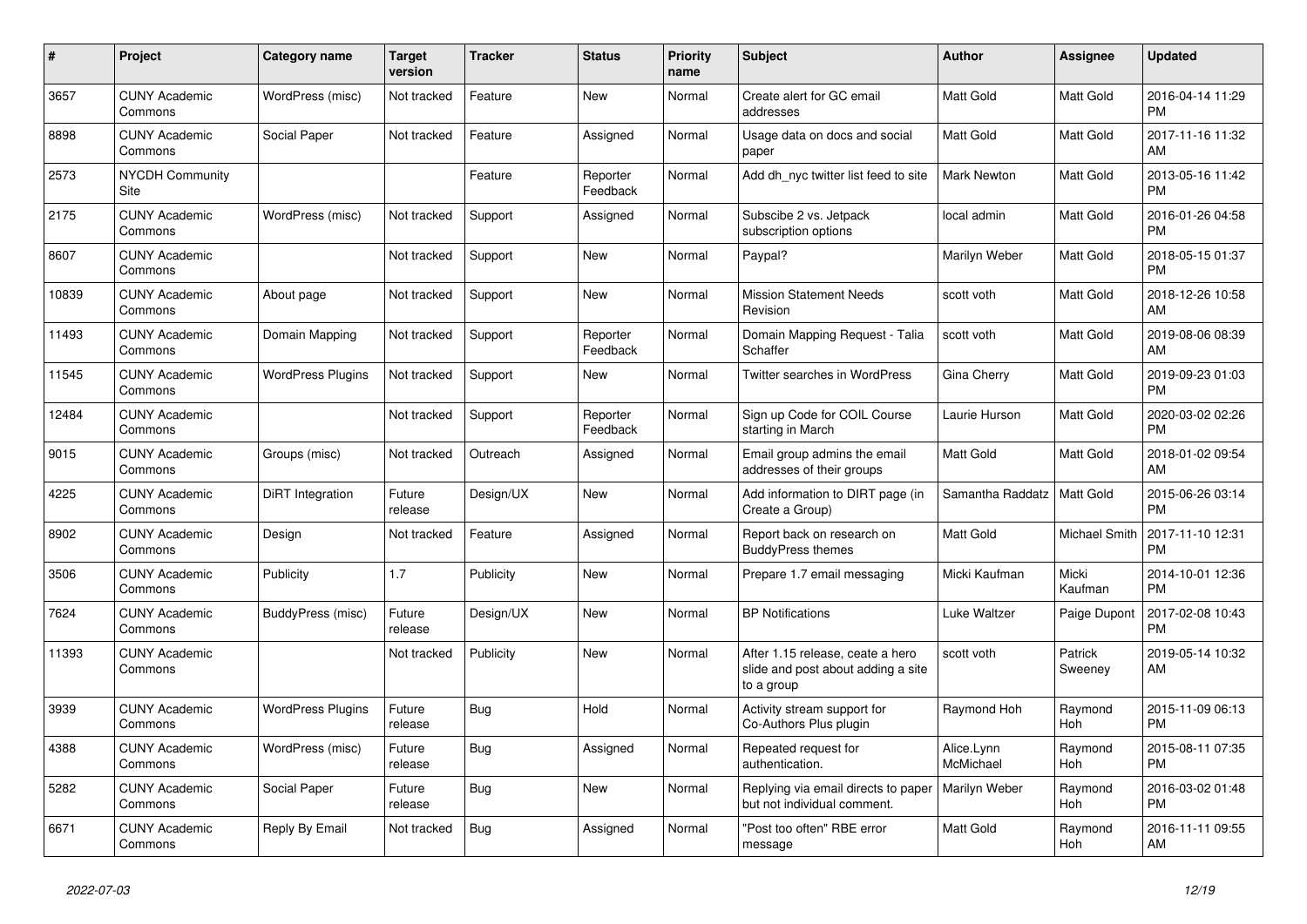| #     | <b>Project</b>                  | Category name            | <b>Target</b><br>version | <b>Tracker</b> | <b>Status</b>        | <b>Priority</b><br>name | <b>Subject</b>                                                                       | <b>Author</b>                | Assignee           | <b>Updated</b>                |
|-------|---------------------------------|--------------------------|--------------------------|----------------|----------------------|-------------------------|--------------------------------------------------------------------------------------|------------------------------|--------------------|-------------------------------|
| 3657  | <b>CUNY Academic</b><br>Commons | WordPress (misc)         | Not tracked              | Feature        | <b>New</b>           | Normal                  | Create alert for GC email<br>addresses                                               | <b>Matt Gold</b>             | Matt Gold          | 2016-04-14 11:29<br><b>PM</b> |
| 8898  | <b>CUNY Academic</b><br>Commons | Social Paper             | Not tracked              | Feature        | Assigned             | Normal                  | Usage data on docs and social<br>paper                                               | Matt Gold                    | Matt Gold          | 2017-11-16 11:32<br>AM        |
| 2573  | <b>NYCDH Community</b><br>Site  |                          |                          | Feature        | Reporter<br>Feedback | Normal                  | Add dh nyc twitter list feed to site                                                 | <b>Mark Newton</b>           | Matt Gold          | 2013-05-16 11:42<br><b>PM</b> |
| 2175  | <b>CUNY Academic</b><br>Commons | WordPress (misc)         | Not tracked              | Support        | Assigned             | Normal                  | Subscibe 2 vs. Jetpack<br>subscription options                                       | local admin                  | Matt Gold          | 2016-01-26 04:58<br><b>PM</b> |
| 8607  | <b>CUNY Academic</b><br>Commons |                          | Not tracked              | Support        | New                  | Normal                  | Paypal?                                                                              | Marilyn Weber                | Matt Gold          | 2018-05-15 01:37<br><b>PM</b> |
| 10839 | <b>CUNY Academic</b><br>Commons | About page               | Not tracked              | Support        | New                  | Normal                  | <b>Mission Statement Needs</b><br>Revision                                           | scott voth                   | Matt Gold          | 2018-12-26 10:58<br>AM        |
| 11493 | <b>CUNY Academic</b><br>Commons | Domain Mapping           | Not tracked              | Support        | Reporter<br>Feedback | Normal                  | Domain Mapping Request - Talia<br>Schaffer                                           | scott voth                   | <b>Matt Gold</b>   | 2019-08-06 08:39<br>AM        |
| 11545 | <b>CUNY Academic</b><br>Commons | <b>WordPress Plugins</b> | Not tracked              | Support        | New                  | Normal                  | <b>Twitter searches in WordPress</b>                                                 | Gina Cherry                  | Matt Gold          | 2019-09-23 01:03<br><b>PM</b> |
| 12484 | <b>CUNY Academic</b><br>Commons |                          | Not tracked              | Support        | Reporter<br>Feedback | Normal                  | Sign up Code for COIL Course<br>starting in March                                    | Laurie Hurson                | Matt Gold          | 2020-03-02 02:26<br><b>PM</b> |
| 9015  | <b>CUNY Academic</b><br>Commons | Groups (misc)            | Not tracked              | Outreach       | Assigned             | Normal                  | Email group admins the email<br>addresses of their groups                            | <b>Matt Gold</b>             | Matt Gold          | 2018-01-02 09:54<br>AM        |
| 4225  | <b>CUNY Academic</b><br>Commons | DiRT Integration         | Future<br>release        | Design/UX      | <b>New</b>           | Normal                  | Add information to DIRT page (in<br>Create a Group)                                  | Samantha Raddatz   Matt Gold |                    | 2015-06-26 03:14<br><b>PM</b> |
| 8902  | <b>CUNY Academic</b><br>Commons | Design                   | Not tracked              | Feature        | Assigned             | Normal                  | Report back on research on<br><b>BuddyPress themes</b>                               | Matt Gold                    | Michael Smith      | 2017-11-10 12:31<br><b>PM</b> |
| 3506  | <b>CUNY Academic</b><br>Commons | Publicity                | 1.7                      | Publicity      | <b>New</b>           | Normal                  | Prepare 1.7 email messaging                                                          | Micki Kaufman                | Micki<br>Kaufman   | 2014-10-01 12:36<br><b>PM</b> |
| 7624  | <b>CUNY Academic</b><br>Commons | BuddyPress (misc)        | Future<br>release        | Design/UX      | <b>New</b>           | Normal                  | <b>BP Notifications</b>                                                              | Luke Waltzer                 | Paige Dupont       | 2017-02-08 10:43<br><b>PM</b> |
| 11393 | <b>CUNY Academic</b><br>Commons |                          | Not tracked              | Publicity      | <b>New</b>           | Normal                  | After 1.15 release, ceate a hero<br>slide and post about adding a site<br>to a group | scott voth                   | Patrick<br>Sweeney | 2019-05-14 10:32<br>AM        |
| 3939  | <b>CUNY Academic</b><br>Commons | <b>WordPress Plugins</b> | Future<br>release        | Bug            | Hold                 | Normal                  | Activity stream support for<br>Co-Authors Plus plugin                                | Raymond Hoh                  | Raymond<br>Hoh     | 2015-11-09 06:13<br><b>PM</b> |
| 4388  | <b>CUNY Academic</b><br>Commons | WordPress (misc)         | Future<br>release        | Bug            | Assigned             | Normal                  | Repeated request for<br>authentication.                                              | Alice.Lynn<br>McMichael      | Raymond<br>Hoh     | 2015-08-11 07:35<br><b>PM</b> |
| 5282  | <b>CUNY Academic</b><br>Commons | Social Paper             | Future<br>release        | <b>Bug</b>     | New                  | Normal                  | Replying via email directs to paper<br>but not individual comment.                   | Marilyn Weber                | Raymond<br>Hoh     | 2016-03-02 01:48<br><b>PM</b> |
| 6671  | <b>CUNY Academic</b><br>Commons | Reply By Email           | Not tracked              | Bug            | Assigned             | Normal                  | "Post too often" RBE error<br>message                                                | <b>Matt Gold</b>             | Raymond<br>Hoh     | 2016-11-11 09:55<br>AM        |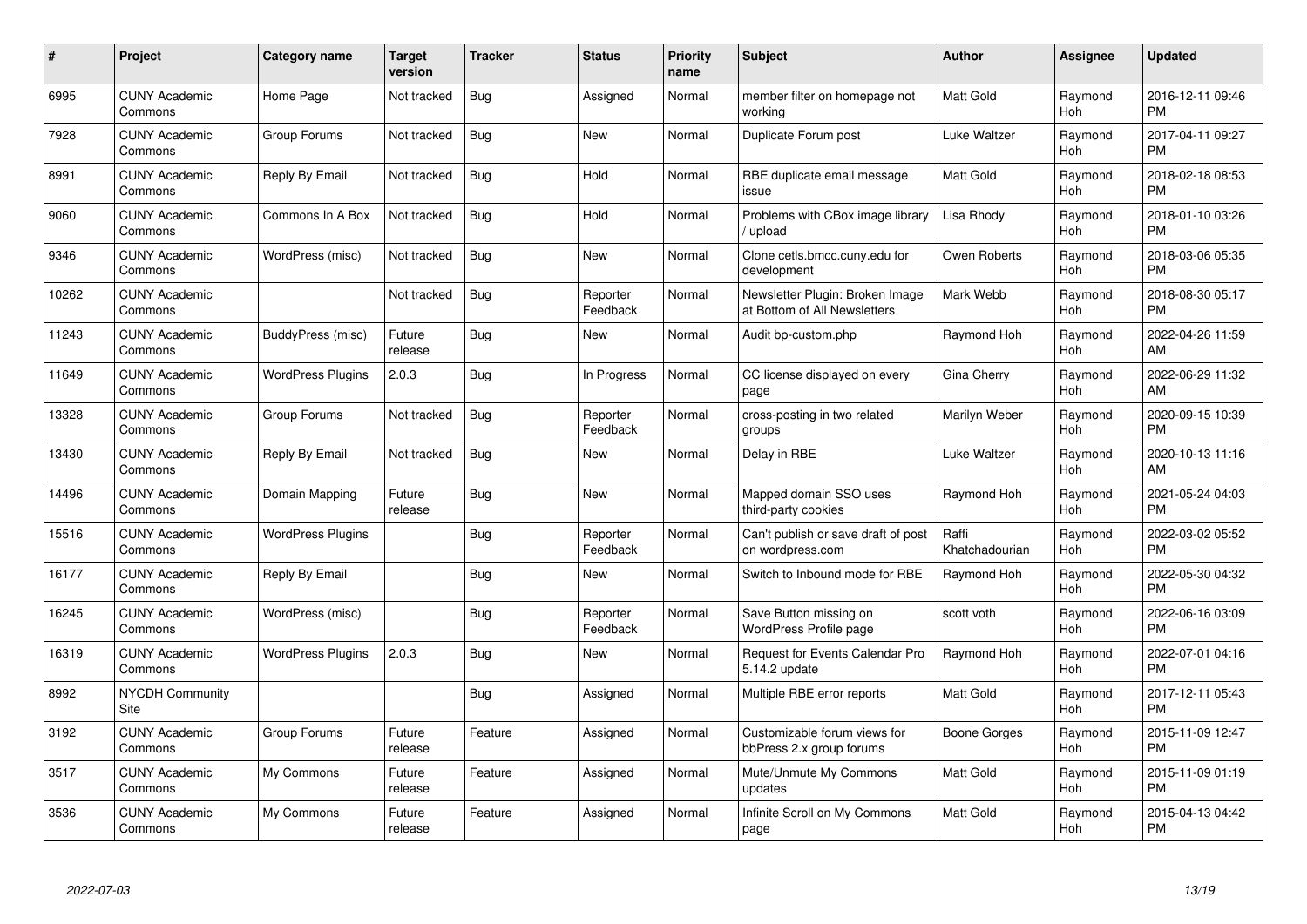| $\#$  | Project                               | <b>Category name</b>     | <b>Target</b><br>version | <b>Tracker</b> | <b>Status</b>        | Priority<br>name | <b>Subject</b>                                                  | <b>Author</b>           | <b>Assignee</b> | <b>Updated</b>                |
|-------|---------------------------------------|--------------------------|--------------------------|----------------|----------------------|------------------|-----------------------------------------------------------------|-------------------------|-----------------|-------------------------------|
| 6995  | <b>CUNY Academic</b><br>Commons       | Home Page                | Not tracked              | <b>Bug</b>     | Assigned             | Normal           | member filter on homepage not<br>working                        | <b>Matt Gold</b>        | Raymond<br>Hoh  | 2016-12-11 09:46<br><b>PM</b> |
| 7928  | <b>CUNY Academic</b><br>Commons       | Group Forums             | Not tracked              | Bug            | <b>New</b>           | Normal           | Duplicate Forum post                                            | Luke Waltzer            | Raymond<br>Hoh  | 2017-04-11 09:27<br><b>PM</b> |
| 8991  | <b>CUNY Academic</b><br>Commons       | Reply By Email           | Not tracked              | Bug            | Hold                 | Normal           | RBE duplicate email message<br>issue                            | Matt Gold               | Raymond<br>Hoh  | 2018-02-18 08:53<br><b>PM</b> |
| 9060  | <b>CUNY Academic</b><br>Commons       | Commons In A Box         | Not tracked              | <b>Bug</b>     | Hold                 | Normal           | Problems with CBox image library<br>upload                      | Lisa Rhody              | Raymond<br>Hoh  | 2018-01-10 03:26<br><b>PM</b> |
| 9346  | <b>CUNY Academic</b><br>Commons       | WordPress (misc)         | Not tracked              | Bug            | <b>New</b>           | Normal           | Clone cetls.bmcc.cuny.edu for<br>development                    | Owen Roberts            | Raymond<br>Hoh  | 2018-03-06 05:35<br><b>PM</b> |
| 10262 | <b>CUNY Academic</b><br>Commons       |                          | Not tracked              | Bug            | Reporter<br>Feedback | Normal           | Newsletter Plugin: Broken Image<br>at Bottom of All Newsletters | Mark Webb               | Raymond<br>Hoh  | 2018-08-30 05:17<br><b>PM</b> |
| 11243 | <b>CUNY Academic</b><br>Commons       | BuddyPress (misc)        | Future<br>release        | Bug            | <b>New</b>           | Normal           | Audit bp-custom.php                                             | Raymond Hoh             | Raymond<br>Hoh  | 2022-04-26 11:59<br>AM        |
| 11649 | <b>CUNY Academic</b><br>Commons       | <b>WordPress Plugins</b> | 2.0.3                    | Bug            | In Progress          | Normal           | CC license displayed on every<br>page                           | Gina Cherry             | Raymond<br>Hoh  | 2022-06-29 11:32<br>AM        |
| 13328 | <b>CUNY Academic</b><br>Commons       | Group Forums             | Not tracked              | Bug            | Reporter<br>Feedback | Normal           | cross-posting in two related<br>groups                          | Marilyn Weber           | Raymond<br>Hoh  | 2020-09-15 10:39<br><b>PM</b> |
| 13430 | <b>CUNY Academic</b><br>Commons       | Reply By Email           | Not tracked              | Bug            | New                  | Normal           | Delay in RBE                                                    | Luke Waltzer            | Raymond<br>Hoh  | 2020-10-13 11:16<br>AM        |
| 14496 | <b>CUNY Academic</b><br>Commons       | Domain Mapping           | Future<br>release        | <b>Bug</b>     | <b>New</b>           | Normal           | Mapped domain SSO uses<br>third-party cookies                   | Raymond Hoh             | Raymond<br>Hoh  | 2021-05-24 04:03<br><b>PM</b> |
| 15516 | <b>CUNY Academic</b><br>Commons       | <b>WordPress Plugins</b> |                          | Bug            | Reporter<br>Feedback | Normal           | Can't publish or save draft of post<br>on wordpress.com         | Raffi<br>Khatchadourian | Raymond<br>Hoh  | 2022-03-02 05:52<br><b>PM</b> |
| 16177 | <b>CUNY Academic</b><br>Commons       | Reply By Email           |                          | Bug            | New                  | Normal           | Switch to Inbound mode for RBE                                  | Raymond Hoh             | Raymond<br>Hoh  | 2022-05-30 04:32<br><b>PM</b> |
| 16245 | <b>CUNY Academic</b><br>Commons       | WordPress (misc)         |                          | Bug            | Reporter<br>Feedback | Normal           | Save Button missing on<br>WordPress Profile page                | scott voth              | Raymond<br>Hoh  | 2022-06-16 03:09<br><b>PM</b> |
| 16319 | <b>CUNY Academic</b><br>Commons       | <b>WordPress Plugins</b> | 2.0.3                    | <b>Bug</b>     | New                  | Normal           | <b>Request for Events Calendar Pro</b><br>5.14.2 update         | Raymond Hoh             | Raymond<br>Hoh  | 2022-07-01 04:16<br><b>PM</b> |
| 8992  | <b>NYCDH Community</b><br><b>Site</b> |                          |                          | Bug            | Assigned             | Normal           | Multiple RBE error reports                                      | <b>Matt Gold</b>        | Raymond<br>Hoh  | 2017-12-11 05:43<br><b>PM</b> |
| 3192  | <b>CUNY Academic</b><br>Commons       | Group Forums             | Future<br>release        | Feature        | Assigned             | Normal           | Customizable forum views for<br>bbPress 2.x group forums        | Boone Gorges            | Raymond<br>Hoh  | 2015-11-09 12:47<br><b>PM</b> |
| 3517  | <b>CUNY Academic</b><br>Commons       | My Commons               | Future<br>release        | Feature        | Assigned             | Normal           | Mute/Unmute My Commons<br>updates                               | <b>Matt Gold</b>        | Raymond<br>Hoh  | 2015-11-09 01:19<br><b>PM</b> |
| 3536  | CUNY Academic<br>Commons              | My Commons               | Future<br>release        | Feature        | Assigned             | Normal           | Infinite Scroll on My Commons<br>page                           | <b>Matt Gold</b>        | Raymond<br>Hoh  | 2015-04-13 04:42<br><b>PM</b> |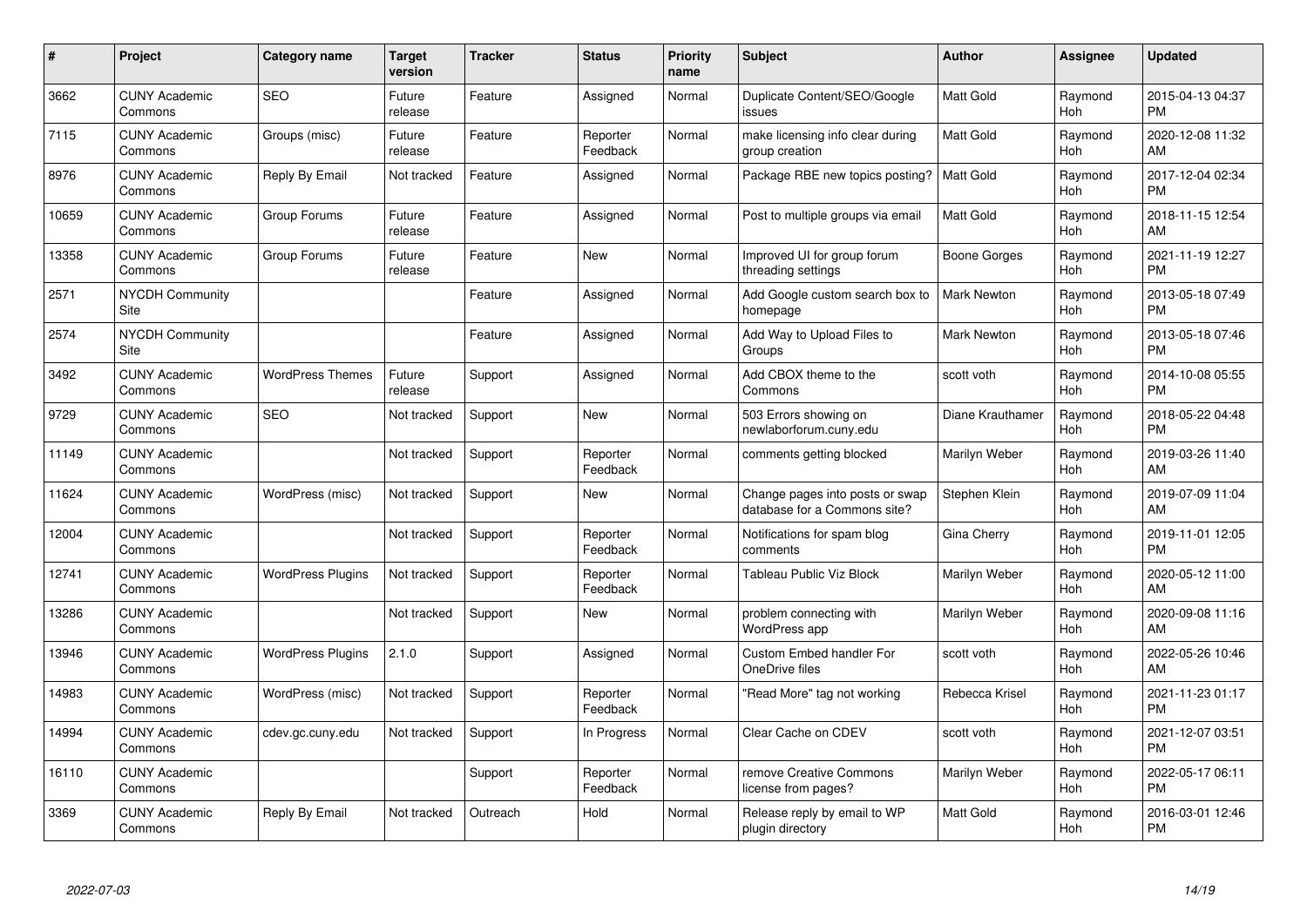| #     | Project                         | Category name            | <b>Target</b><br>version | <b>Tracker</b> | <b>Status</b>        | <b>Priority</b><br>name | <b>Subject</b>                                                  | <b>Author</b>      | <b>Assignee</b> | <b>Updated</b>                |
|-------|---------------------------------|--------------------------|--------------------------|----------------|----------------------|-------------------------|-----------------------------------------------------------------|--------------------|-----------------|-------------------------------|
| 3662  | <b>CUNY Academic</b><br>Commons | <b>SEO</b>               | Future<br>release        | Feature        | Assigned             | Normal                  | Duplicate Content/SEO/Google<br>issues                          | <b>Matt Gold</b>   | Raymond<br>Hoh  | 2015-04-13 04:37<br><b>PM</b> |
| 7115  | <b>CUNY Academic</b><br>Commons | Groups (misc)            | Future<br>release        | Feature        | Reporter<br>Feedback | Normal                  | make licensing info clear during<br>group creation              | <b>Matt Gold</b>   | Raymond<br>Hoh  | 2020-12-08 11:32<br>AM        |
| 8976  | <b>CUNY Academic</b><br>Commons | Reply By Email           | Not tracked              | Feature        | Assigned             | Normal                  | Package RBE new topics posting?                                 | Matt Gold          | Raymond<br>Hoh  | 2017-12-04 02:34<br><b>PM</b> |
| 10659 | <b>CUNY Academic</b><br>Commons | Group Forums             | Future<br>release        | Feature        | Assigned             | Normal                  | Post to multiple groups via email                               | Matt Gold          | Raymond<br>Hoh  | 2018-11-15 12:54<br>AM        |
| 13358 | <b>CUNY Academic</b><br>Commons | Group Forums             | Future<br>release        | Feature        | <b>New</b>           | Normal                  | Improved UI for group forum<br>threading settings               | Boone Gorges       | Raymond<br>Hoh  | 2021-11-19 12:27<br><b>PM</b> |
| 2571  | <b>NYCDH Community</b><br>Site  |                          |                          | Feature        | Assigned             | Normal                  | Add Google custom search box to<br>homepage                     | <b>Mark Newton</b> | Raymond<br>Hoh  | 2013-05-18 07:49<br><b>PM</b> |
| 2574  | <b>NYCDH Community</b><br>Site  |                          |                          | Feature        | Assigned             | Normal                  | Add Way to Upload Files to<br>Groups                            | <b>Mark Newton</b> | Raymond<br>Hoh  | 2013-05-18 07:46<br><b>PM</b> |
| 3492  | <b>CUNY Academic</b><br>Commons | <b>WordPress Themes</b>  | Future<br>release        | Support        | Assigned             | Normal                  | Add CBOX theme to the<br>Commons                                | scott voth         | Raymond<br>Hoh  | 2014-10-08 05:55<br><b>PM</b> |
| 9729  | <b>CUNY Academic</b><br>Commons | <b>SEO</b>               | Not tracked              | Support        | New                  | Normal                  | 503 Errors showing on<br>newlaborforum.cuny.edu                 | Diane Krauthamer   | Raymond<br>Hoh  | 2018-05-22 04:48<br><b>PM</b> |
| 11149 | <b>CUNY Academic</b><br>Commons |                          | Not tracked              | Support        | Reporter<br>Feedback | Normal                  | comments getting blocked                                        | Marilyn Weber      | Raymond<br>Hoh  | 2019-03-26 11:40<br>AM        |
| 11624 | <b>CUNY Academic</b><br>Commons | WordPress (misc)         | Not tracked              | Support        | New                  | Normal                  | Change pages into posts or swap<br>database for a Commons site? | Stephen Klein      | Raymond<br>Hoh  | 2019-07-09 11:04<br>AM        |
| 12004 | <b>CUNY Academic</b><br>Commons |                          | Not tracked              | Support        | Reporter<br>Feedback | Normal                  | Notifications for spam blog<br>comments                         | Gina Cherry        | Raymond<br>Hoh  | 2019-11-01 12:05<br><b>PM</b> |
| 12741 | <b>CUNY Academic</b><br>Commons | <b>WordPress Plugins</b> | Not tracked              | Support        | Reporter<br>Feedback | Normal                  | Tableau Public Viz Block                                        | Marilyn Weber      | Raymond<br>Hoh  | 2020-05-12 11:00<br>AM        |
| 13286 | <b>CUNY Academic</b><br>Commons |                          | Not tracked              | Support        | <b>New</b>           | Normal                  | problem connecting with<br><b>WordPress app</b>                 | Marilyn Weber      | Raymond<br>Hoh  | 2020-09-08 11:16<br>AM        |
| 13946 | <b>CUNY Academic</b><br>Commons | <b>WordPress Plugins</b> | 2.1.0                    | Support        | Assigned             | Normal                  | <b>Custom Embed handler For</b><br>OneDrive files               | scott voth         | Raymond<br>Hoh  | 2022-05-26 10:46<br>AM        |
| 14983 | <b>CUNY Academic</b><br>Commons | WordPress (misc)         | Not tracked              | Support        | Reporter<br>Feedback | Normal                  | "Read More" tag not working                                     | Rebecca Krisel     | Raymond<br>Hoh  | 2021-11-23 01:17<br><b>PM</b> |
| 14994 | <b>CUNY Academic</b><br>Commons | cdev.gc.cuny.edu         | Not tracked              | Support        | In Progress          | Normal                  | Clear Cache on CDEV                                             | scott voth         | Raymond<br>Hoh  | 2021-12-07 03:51<br><b>PM</b> |
| 16110 | <b>CUNY Academic</b><br>Commons |                          |                          | Support        | Reporter<br>Feedback | Normal                  | remove Creative Commons<br>license from pages?                  | Marilyn Weber      | Raymond<br>Hoh  | 2022-05-17 06:11<br><b>PM</b> |
| 3369  | <b>CUNY Academic</b><br>Commons | Reply By Email           | Not tracked              | Outreach       | Hold                 | Normal                  | Release reply by email to WP<br>plugin directory                | <b>Matt Gold</b>   | Raymond<br>Hoh  | 2016-03-01 12:46<br><b>PM</b> |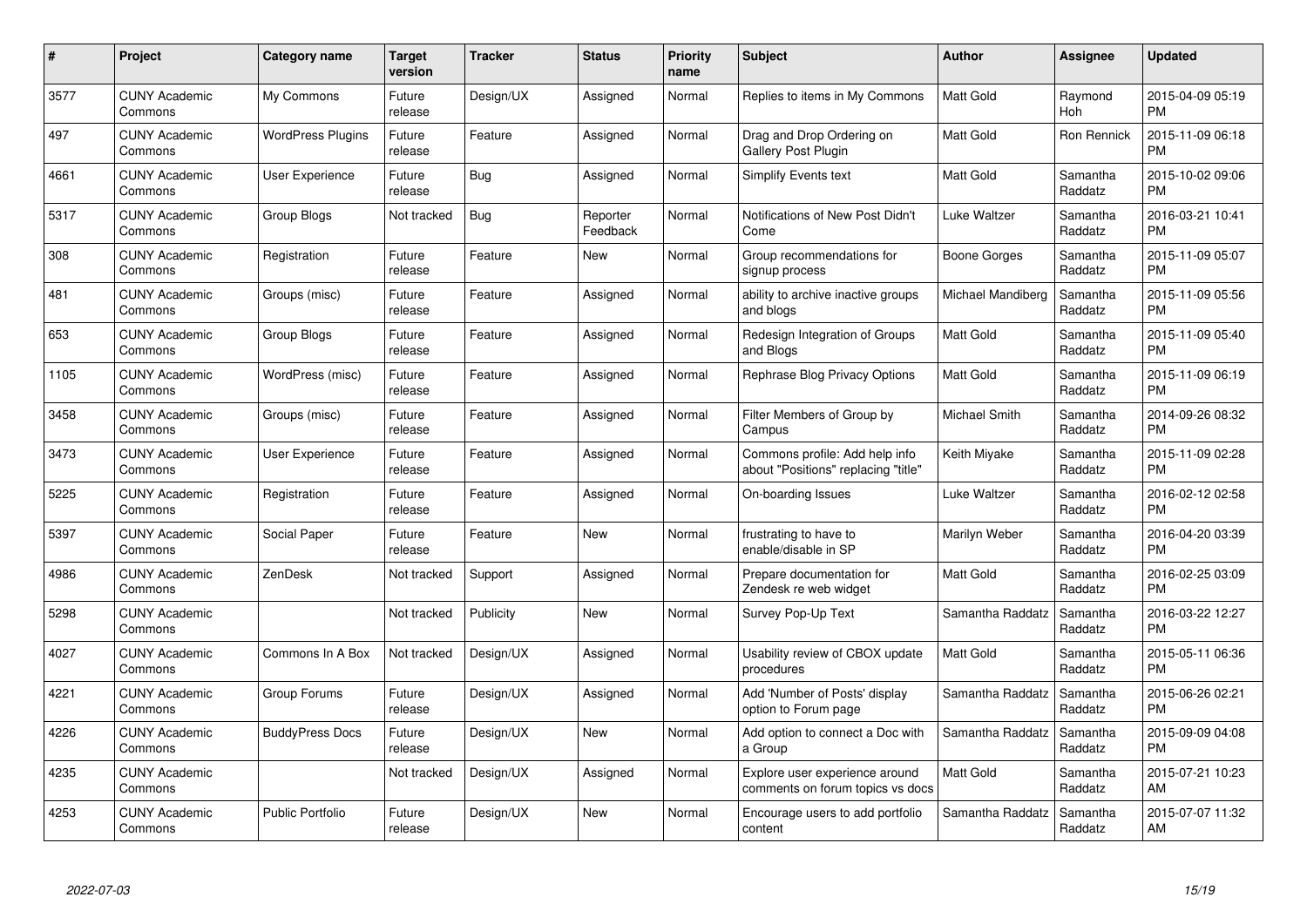| #    | Project                         | <b>Category name</b>     | Target<br>version | <b>Tracker</b> | <b>Status</b>        | Priority<br>name | <b>Subject</b>                                                        | <b>Author</b>     | <b>Assignee</b>     | <b>Updated</b>                |
|------|---------------------------------|--------------------------|-------------------|----------------|----------------------|------------------|-----------------------------------------------------------------------|-------------------|---------------------|-------------------------------|
| 3577 | <b>CUNY Academic</b><br>Commons | My Commons               | Future<br>release | Design/UX      | Assigned             | Normal           | Replies to items in My Commons                                        | <b>Matt Gold</b>  | Raymond<br>Hoh      | 2015-04-09 05:19<br><b>PM</b> |
| 497  | <b>CUNY Academic</b><br>Commons | <b>WordPress Plugins</b> | Future<br>release | Feature        | Assigned             | Normal           | Drag and Drop Ordering on<br><b>Gallery Post Plugin</b>               | Matt Gold         | Ron Rennick         | 2015-11-09 06:18<br><b>PM</b> |
| 4661 | <b>CUNY Academic</b><br>Commons | <b>User Experience</b>   | Future<br>release | Bug            | Assigned             | Normal           | <b>Simplify Events text</b>                                           | <b>Matt Gold</b>  | Samantha<br>Raddatz | 2015-10-02 09:06<br><b>PM</b> |
| 5317 | <b>CUNY Academic</b><br>Commons | Group Blogs              | Not tracked       | <b>Bug</b>     | Reporter<br>Feedback | Normal           | Notifications of New Post Didn't<br>Come                              | Luke Waltzer      | Samantha<br>Raddatz | 2016-03-21 10:41<br><b>PM</b> |
| 308  | <b>CUNY Academic</b><br>Commons | Registration             | Future<br>release | Feature        | <b>New</b>           | Normal           | Group recommendations for<br>signup process                           | Boone Gorges      | Samantha<br>Raddatz | 2015-11-09 05:07<br><b>PM</b> |
| 481  | <b>CUNY Academic</b><br>Commons | Groups (misc)            | Future<br>release | Feature        | Assigned             | Normal           | ability to archive inactive groups<br>and blogs                       | Michael Mandiberg | Samantha<br>Raddatz | 2015-11-09 05:56<br><b>PM</b> |
| 653  | <b>CUNY Academic</b><br>Commons | <b>Group Blogs</b>       | Future<br>release | Feature        | Assigned             | Normal           | Redesign Integration of Groups<br>and Blogs                           | Matt Gold         | Samantha<br>Raddatz | 2015-11-09 05:40<br><b>PM</b> |
| 1105 | <b>CUNY Academic</b><br>Commons | WordPress (misc)         | Future<br>release | Feature        | Assigned             | Normal           | Rephrase Blog Privacy Options                                         | <b>Matt Gold</b>  | Samantha<br>Raddatz | 2015-11-09 06:19<br><b>PM</b> |
| 3458 | <b>CUNY Academic</b><br>Commons | Groups (misc)            | Future<br>release | Feature        | Assigned             | Normal           | Filter Members of Group by<br>Campus                                  | Michael Smith     | Samantha<br>Raddatz | 2014-09-26 08:32<br><b>PM</b> |
| 3473 | <b>CUNY Academic</b><br>Commons | <b>User Experience</b>   | Future<br>release | Feature        | Assigned             | Normal           | Commons profile: Add help info<br>about "Positions" replacing "title" | Keith Miyake      | Samantha<br>Raddatz | 2015-11-09 02:28<br>PM        |
| 5225 | <b>CUNY Academic</b><br>Commons | Registration             | Future<br>release | Feature        | Assigned             | Normal           | On-boarding Issues                                                    | Luke Waltzer      | Samantha<br>Raddatz | 2016-02-12 02:58<br><b>PM</b> |
| 5397 | <b>CUNY Academic</b><br>Commons | Social Paper             | Future<br>release | Feature        | New                  | Normal           | frustrating to have to<br>enable/disable in SP                        | Marilyn Weber     | Samantha<br>Raddatz | 2016-04-20 03:39<br><b>PM</b> |
| 4986 | <b>CUNY Academic</b><br>Commons | ZenDesk                  | Not tracked       | Support        | Assigned             | Normal           | Prepare documentation for<br>Zendesk re web widget                    | Matt Gold         | Samantha<br>Raddatz | 2016-02-25 03:09<br>PM.       |
| 5298 | <b>CUNY Academic</b><br>Commons |                          | Not tracked       | Publicity      | New                  | Normal           | Survey Pop-Up Text                                                    | Samantha Raddatz  | Samantha<br>Raddatz | 2016-03-22 12:27<br><b>PM</b> |
| 4027 | <b>CUNY Academic</b><br>Commons | Commons In A Box         | Not tracked       | Design/UX      | Assigned             | Normal           | Usability review of CBOX update<br>procedures                         | Matt Gold         | Samantha<br>Raddatz | 2015-05-11 06:36<br><b>PM</b> |
| 4221 | <b>CUNY Academic</b><br>Commons | Group Forums             | Future<br>release | Design/UX      | Assigned             | Normal           | Add 'Number of Posts' display<br>option to Forum page                 | Samantha Raddatz  | Samantha<br>Raddatz | 2015-06-26 02:21<br><b>PM</b> |
| 4226 | <b>CUNY Academic</b><br>Commons | <b>BuddyPress Docs</b>   | Future<br>release | Design/UX      | New                  | Normal           | Add option to connect a Doc with<br>a Group                           | Samantha Raddatz  | Samantha<br>Raddatz | 2015-09-09 04:08<br><b>PM</b> |
| 4235 | <b>CUNY Academic</b><br>Commons |                          | Not tracked       | Design/UX      | Assigned             | Normal           | Explore user experience around<br>comments on forum topics vs docs    | <b>Matt Gold</b>  | Samantha<br>Raddatz | 2015-07-21 10:23<br>AM        |
| 4253 | <b>CUNY Academic</b><br>Commons | <b>Public Portfolio</b>  | Future<br>release | Design/UX      | <b>New</b>           | Normal           | Encourage users to add portfolio<br>content                           | Samantha Raddatz  | Samantha<br>Raddatz | 2015-07-07 11:32<br>AM        |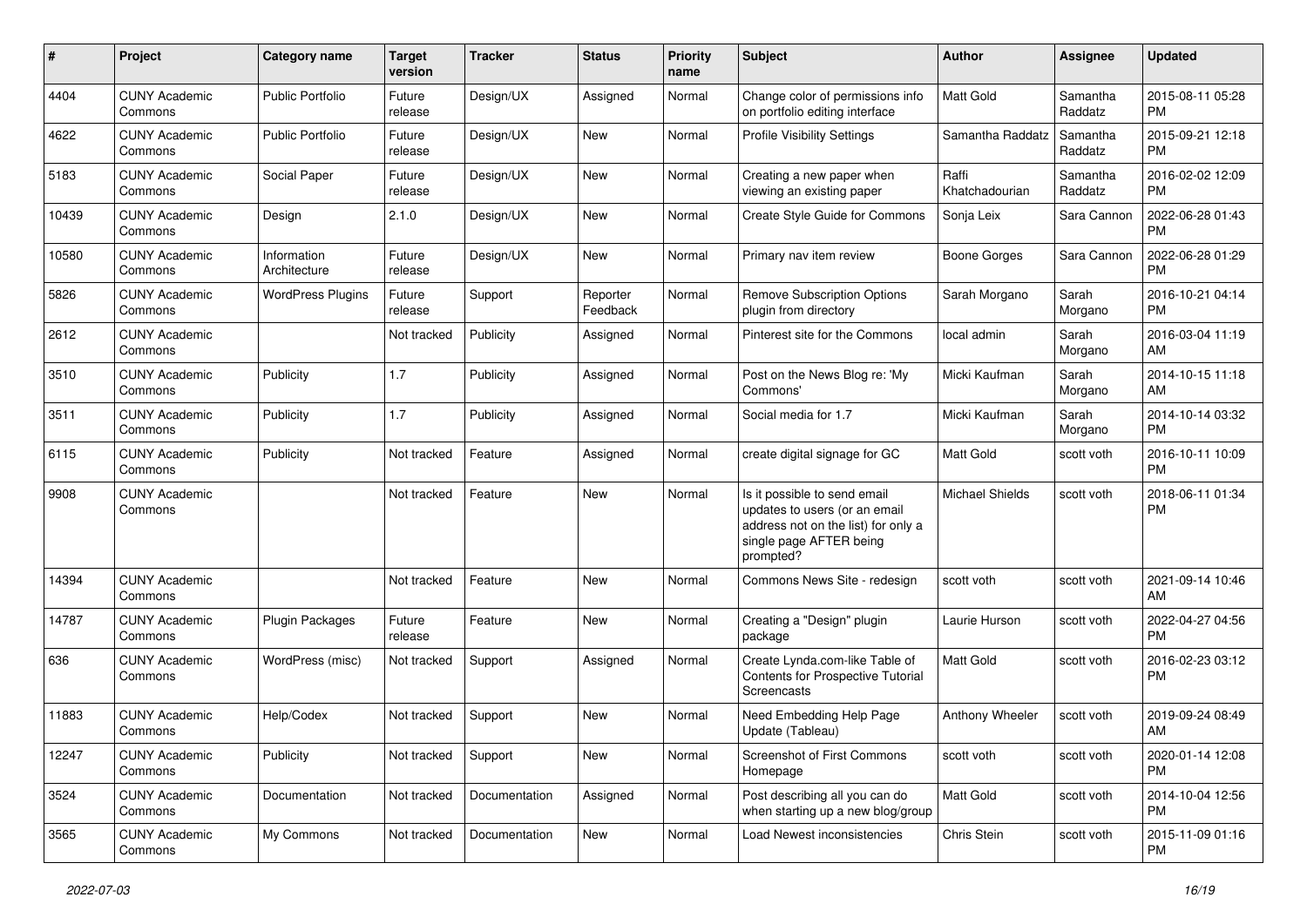| #     | Project                         | <b>Category name</b>        | <b>Target</b><br>version | <b>Tracker</b> | <b>Status</b>        | <b>Priority</b><br>name | Subject                                                                                                                                      | Author                  | Assignee            | <b>Updated</b>                |
|-------|---------------------------------|-----------------------------|--------------------------|----------------|----------------------|-------------------------|----------------------------------------------------------------------------------------------------------------------------------------------|-------------------------|---------------------|-------------------------------|
| 4404  | <b>CUNY Academic</b><br>Commons | <b>Public Portfolio</b>     | Future<br>release        | Design/UX      | Assigned             | Normal                  | Change color of permissions info<br>on portfolio editing interface                                                                           | <b>Matt Gold</b>        | Samantha<br>Raddatz | 2015-08-11 05:28<br><b>PM</b> |
| 4622  | <b>CUNY Academic</b><br>Commons | <b>Public Portfolio</b>     | Future<br>release        | Design/UX      | New                  | Normal                  | <b>Profile Visibility Settings</b>                                                                                                           | Samantha Raddatz        | Samantha<br>Raddatz | 2015-09-21 12:18<br><b>PM</b> |
| 5183  | <b>CUNY Academic</b><br>Commons | Social Paper                | Future<br>release        | Design/UX      | <b>New</b>           | Normal                  | Creating a new paper when<br>viewing an existing paper                                                                                       | Raffi<br>Khatchadourian | Samantha<br>Raddatz | 2016-02-02 12:09<br><b>PM</b> |
| 10439 | <b>CUNY Academic</b><br>Commons | Design                      | 2.1.0                    | Design/UX      | <b>New</b>           | Normal                  | Create Style Guide for Commons                                                                                                               | Sonja Leix              | Sara Cannon         | 2022-06-28 01:43<br><b>PM</b> |
| 10580 | <b>CUNY Academic</b><br>Commons | Information<br>Architecture | Future<br>release        | Design/UX      | <b>New</b>           | Normal                  | Primary nav item review                                                                                                                      | Boone Gorges            | Sara Cannon         | 2022-06-28 01:29<br><b>PM</b> |
| 5826  | <b>CUNY Academic</b><br>Commons | <b>WordPress Plugins</b>    | Future<br>release        | Support        | Reporter<br>Feedback | Normal                  | <b>Remove Subscription Options</b><br>plugin from directory                                                                                  | Sarah Morgano           | Sarah<br>Morgano    | 2016-10-21 04:14<br><b>PM</b> |
| 2612  | <b>CUNY Academic</b><br>Commons |                             | Not tracked              | Publicity      | Assigned             | Normal                  | Pinterest site for the Commons                                                                                                               | local admin             | Sarah<br>Morgano    | 2016-03-04 11:19<br>AM        |
| 3510  | <b>CUNY Academic</b><br>Commons | Publicity                   | 1.7                      | Publicity      | Assigned             | Normal                  | Post on the News Blog re: 'My<br>Commons'                                                                                                    | Micki Kaufman           | Sarah<br>Morgano    | 2014-10-15 11:18<br>AM        |
| 3511  | <b>CUNY Academic</b><br>Commons | Publicity                   | 1.7                      | Publicity      | Assigned             | Normal                  | Social media for 1.7                                                                                                                         | Micki Kaufman           | Sarah<br>Morgano    | 2014-10-14 03:32<br><b>PM</b> |
| 6115  | <b>CUNY Academic</b><br>Commons | Publicity                   | Not tracked              | Feature        | Assigned             | Normal                  | create digital signage for GC                                                                                                                | <b>Matt Gold</b>        | scott voth          | 2016-10-11 10:09<br><b>PM</b> |
| 9908  | <b>CUNY Academic</b><br>Commons |                             | Not tracked              | Feature        | <b>New</b>           | Normal                  | Is it possible to send email<br>updates to users (or an email<br>address not on the list) for only a<br>single page AFTER being<br>prompted? | <b>Michael Shields</b>  | scott voth          | 2018-06-11 01:34<br><b>PM</b> |
| 14394 | <b>CUNY Academic</b><br>Commons |                             | Not tracked              | Feature        | New                  | Normal                  | Commons News Site - redesign                                                                                                                 | scott voth              | scott voth          | 2021-09-14 10:46<br>AM        |
| 14787 | <b>CUNY Academic</b><br>Commons | Plugin Packages             | Future<br>release        | Feature        | New                  | Normal                  | Creating a "Design" plugin<br>package                                                                                                        | Laurie Hurson           | scott voth          | 2022-04-27 04:56<br><b>PM</b> |
| 636   | <b>CUNY Academic</b><br>Commons | WordPress (misc)            | Not tracked              | Support        | Assigned             | Normal                  | Create Lynda.com-like Table of<br>Contents for Prospective Tutorial<br>Screencasts                                                           | <b>Matt Gold</b>        | scott voth          | 2016-02-23 03:12<br><b>PM</b> |
| 11883 | <b>CUNY Academic</b><br>Commons | Help/Codex                  | Not tracked              | Support        | <b>New</b>           | Normal                  | Need Embedding Help Page<br>Update (Tableau)                                                                                                 | Anthony Wheeler         | scott voth          | 2019-09-24 08:49<br>AM        |
| 12247 | <b>CUNY Academic</b><br>Commons | Publicity                   | Not tracked              | Support        | New                  | Normal                  | Screenshot of First Commons<br>Homepage                                                                                                      | scott voth              | scott voth          | 2020-01-14 12:08<br><b>PM</b> |
| 3524  | <b>CUNY Academic</b><br>Commons | Documentation               | Not tracked              | Documentation  | Assigned             | Normal                  | Post describing all you can do<br>when starting up a new blog/group                                                                          | Matt Gold               | scott voth          | 2014-10-04 12:56<br><b>PM</b> |
| 3565  | <b>CUNY Academic</b><br>Commons | My Commons                  | Not tracked              | Documentation  | New                  | Normal                  | Load Newest inconsistencies                                                                                                                  | Chris Stein             | scott voth          | 2015-11-09 01:16<br><b>PM</b> |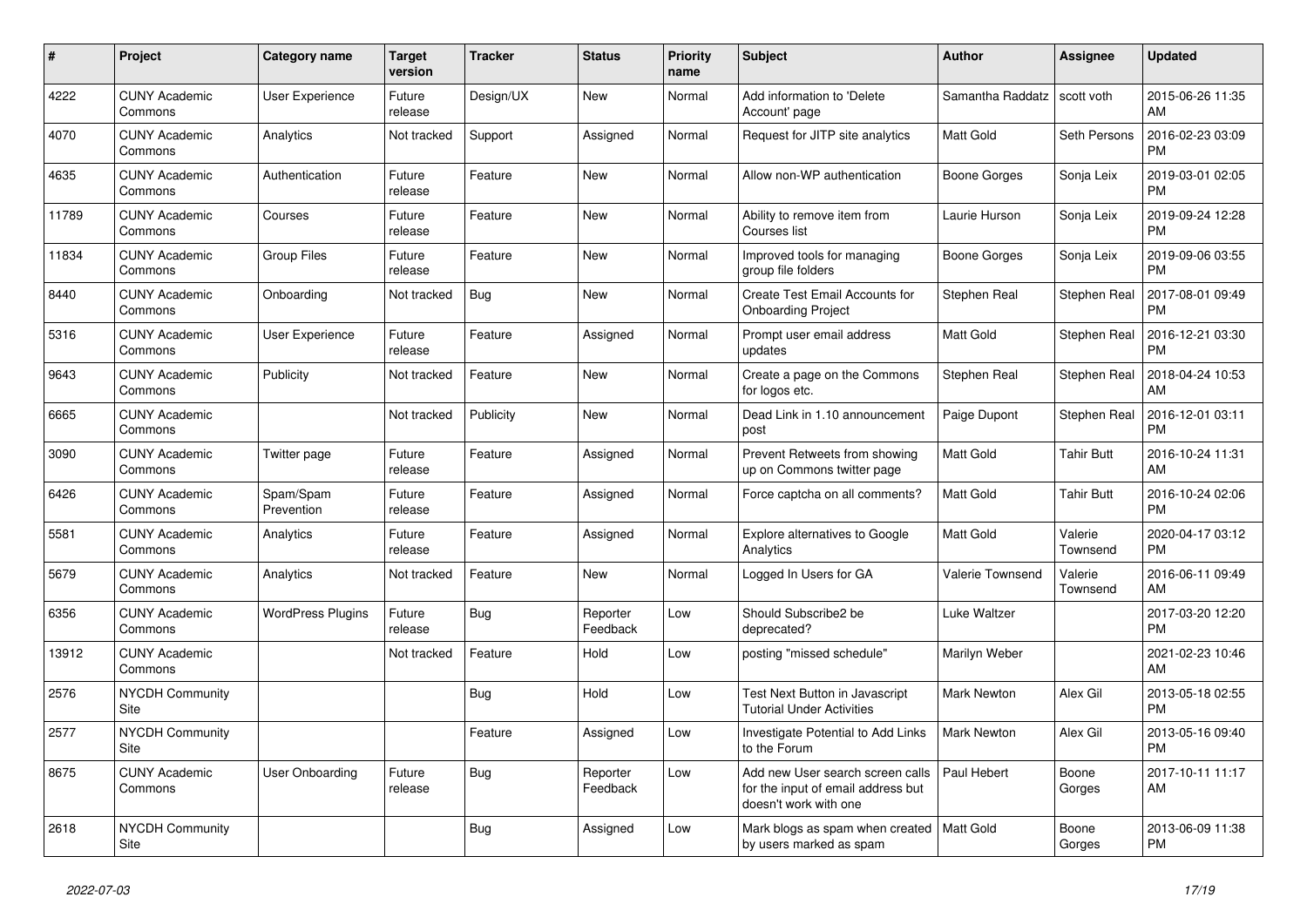| $\pmb{\sharp}$ | <b>Project</b>                  | Category name            | Target<br>version | <b>Tracker</b> | <b>Status</b>        | <b>Priority</b><br>name | <b>Subject</b>                                                                                  | <b>Author</b>           | Assignee            | <b>Updated</b>                |
|----------------|---------------------------------|--------------------------|-------------------|----------------|----------------------|-------------------------|-------------------------------------------------------------------------------------------------|-------------------------|---------------------|-------------------------------|
| 4222           | <b>CUNY Academic</b><br>Commons | User Experience          | Future<br>release | Design/UX      | New                  | Normal                  | Add information to 'Delete<br>Account' page                                                     | Samantha Raddatz        | scott voth          | 2015-06-26 11:35<br>AM        |
| 4070           | <b>CUNY Academic</b><br>Commons | Analytics                | Not tracked       | Support        | Assigned             | Normal                  | Request for JITP site analytics                                                                 | Matt Gold               | Seth Persons        | 2016-02-23 03:09<br><b>PM</b> |
| 4635           | <b>CUNY Academic</b><br>Commons | Authentication           | Future<br>release | Feature        | New                  | Normal                  | Allow non-WP authentication                                                                     | Boone Gorges            | Sonja Leix          | 2019-03-01 02:05<br><b>PM</b> |
| 11789          | <b>CUNY Academic</b><br>Commons | Courses                  | Future<br>release | Feature        | <b>New</b>           | Normal                  | Ability to remove item from<br>Courses list                                                     | Laurie Hurson           | Sonja Leix          | 2019-09-24 12:28<br><b>PM</b> |
| 11834          | <b>CUNY Academic</b><br>Commons | <b>Group Files</b>       | Future<br>release | Feature        | New                  | Normal                  | Improved tools for managing<br>group file folders                                               | Boone Gorges            | Sonja Leix          | 2019-09-06 03:55<br>PM.       |
| 8440           | <b>CUNY Academic</b><br>Commons | Onboarding               | Not tracked       | Bug            | New                  | Normal                  | Create Test Email Accounts for<br><b>Onboarding Project</b>                                     | Stephen Real            | Stephen Real        | 2017-08-01 09:49<br><b>PM</b> |
| 5316           | <b>CUNY Academic</b><br>Commons | User Experience          | Future<br>release | Feature        | Assigned             | Normal                  | Prompt user email address<br>updates                                                            | Matt Gold               | Stephen Real        | 2016-12-21 03:30<br><b>PM</b> |
| 9643           | <b>CUNY Academic</b><br>Commons | Publicity                | Not tracked       | Feature        | <b>New</b>           | Normal                  | Create a page on the Commons<br>for logos etc.                                                  | Stephen Real            | Stephen Real        | 2018-04-24 10:53<br>AM        |
| 6665           | <b>CUNY Academic</b><br>Commons |                          | Not tracked       | Publicity      | New                  | Normal                  | Dead Link in 1.10 announcement<br>post                                                          | Paige Dupont            | Stephen Real        | 2016-12-01 03:11<br><b>PM</b> |
| 3090           | <b>CUNY Academic</b><br>Commons | Twitter page             | Future<br>release | Feature        | Assigned             | Normal                  | Prevent Retweets from showing<br>up on Commons twitter page                                     | Matt Gold               | <b>Tahir Butt</b>   | 2016-10-24 11:31<br>AM        |
| 6426           | <b>CUNY Academic</b><br>Commons | Spam/Spam<br>Prevention  | Future<br>release | Feature        | Assigned             | Normal                  | Force captcha on all comments?                                                                  | Matt Gold               | <b>Tahir Butt</b>   | 2016-10-24 02:06<br><b>PM</b> |
| 5581           | <b>CUNY Academic</b><br>Commons | Analytics                | Future<br>release | Feature        | Assigned             | Normal                  | <b>Explore alternatives to Google</b><br>Analytics                                              | Matt Gold               | Valerie<br>Townsend | 2020-04-17 03:12<br><b>PM</b> |
| 5679           | <b>CUNY Academic</b><br>Commons | Analytics                | Not tracked       | Feature        | New                  | Normal                  | Logged In Users for GA                                                                          | <b>Valerie Townsend</b> | Valerie<br>Townsend | 2016-06-11 09:49<br><b>AM</b> |
| 6356           | <b>CUNY Academic</b><br>Commons | <b>WordPress Plugins</b> | Future<br>release | <b>Bug</b>     | Reporter<br>Feedback | Low                     | Should Subscribe2 be<br>deprecated?                                                             | Luke Waltzer            |                     | 2017-03-20 12:20<br><b>PM</b> |
| 13912          | <b>CUNY Academic</b><br>Commons |                          | Not tracked       | Feature        | Hold                 | Low                     | posting "missed schedule"                                                                       | Marilyn Weber           |                     | 2021-02-23 10:46<br>AM        |
| 2576           | <b>NYCDH Community</b><br>Site  |                          |                   | <b>Bug</b>     | Hold                 | Low                     | Test Next Button in Javascript<br><b>Tutorial Under Activities</b>                              | <b>Mark Newton</b>      | Alex Gil            | 2013-05-18 02:55<br><b>PM</b> |
| 2577           | <b>NYCDH Community</b><br>Site  |                          |                   | Feature        | Assigned             | Low                     | Investigate Potential to Add Links<br>to the Forum                                              | <b>Mark Newton</b>      | Alex Gil            | 2013-05-16 09:40<br><b>PM</b> |
| 8675           | <b>CUNY Academic</b><br>Commons | User Onboarding          | Future<br>release | <b>Bug</b>     | Reporter<br>Feedback | Low                     | Add new User search screen calls<br>for the input of email address but<br>doesn't work with one | Paul Hebert             | Boone<br>Gorges     | 2017-10-11 11:17<br>AM        |
| 2618           | <b>NYCDH Community</b><br>Site  |                          |                   | <b>Bug</b>     | Assigned             | Low                     | Mark blogs as spam when created<br>by users marked as spam                                      | <b>Matt Gold</b>        | Boone<br>Gorges     | 2013-06-09 11:38<br><b>PM</b> |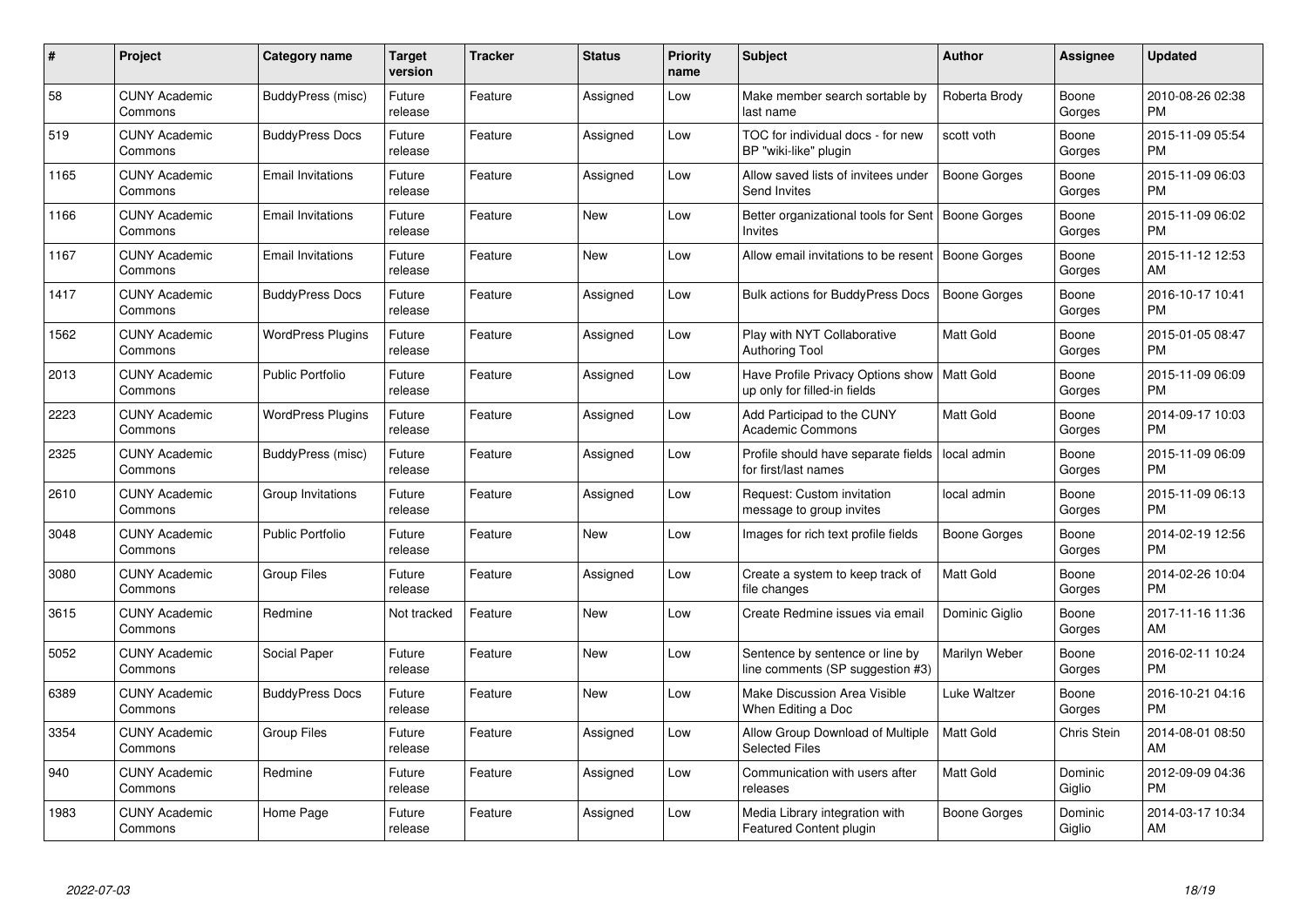| $\#$ | Project                         | <b>Category name</b>     | <b>Target</b><br>version | <b>Tracker</b> | <b>Status</b> | <b>Priority</b><br>name | <b>Subject</b>                                                                | <b>Author</b>       | Assignee           | <b>Updated</b>                |
|------|---------------------------------|--------------------------|--------------------------|----------------|---------------|-------------------------|-------------------------------------------------------------------------------|---------------------|--------------------|-------------------------------|
| 58   | <b>CUNY Academic</b><br>Commons | BuddyPress (misc)        | Future<br>release        | Feature        | Assigned      | Low                     | Make member search sortable by<br>last name                                   | Roberta Brody       | Boone<br>Gorges    | 2010-08-26 02:38<br><b>PM</b> |
| 519  | <b>CUNY Academic</b><br>Commons | <b>BuddyPress Docs</b>   | Future<br>release        | Feature        | Assigned      | Low                     | TOC for individual docs - for new<br>BP "wiki-like" plugin                    | scott voth          | Boone<br>Gorges    | 2015-11-09 05:54<br><b>PM</b> |
| 1165 | <b>CUNY Academic</b><br>Commons | <b>Email Invitations</b> | Future<br>release        | Feature        | Assigned      | Low                     | Allow saved lists of invitees under<br>Send Invites                           | <b>Boone Gorges</b> | Boone<br>Gorges    | 2015-11-09 06:03<br><b>PM</b> |
| 1166 | <b>CUNY Academic</b><br>Commons | <b>Email Invitations</b> | Future<br>release        | Feature        | <b>New</b>    | Low                     | Better organizational tools for Sent<br>Invites                               | <b>Boone Gorges</b> | Boone<br>Gorges    | 2015-11-09 06:02<br><b>PM</b> |
| 1167 | <b>CUNY Academic</b><br>Commons | <b>Email Invitations</b> | Future<br>release        | Feature        | <b>New</b>    | Low                     | Allow email invitations to be resent                                          | Boone Gorges        | Boone<br>Gorges    | 2015-11-12 12:53<br>AM        |
| 1417 | <b>CUNY Academic</b><br>Commons | <b>BuddyPress Docs</b>   | Future<br>release        | Feature        | Assigned      | Low                     | Bulk actions for BuddyPress Docs                                              | <b>Boone Gorges</b> | Boone<br>Gorges    | 2016-10-17 10:41<br><b>PM</b> |
| 1562 | <b>CUNY Academic</b><br>Commons | <b>WordPress Plugins</b> | Future<br>release        | Feature        | Assigned      | Low                     | Play with NYT Collaborative<br><b>Authoring Tool</b>                          | Matt Gold           | Boone<br>Gorges    | 2015-01-05 08:47<br><b>PM</b> |
| 2013 | <b>CUNY Academic</b><br>Commons | <b>Public Portfolio</b>  | Future<br>release        | Feature        | Assigned      | Low                     | Have Profile Privacy Options show   Matt Gold<br>up only for filled-in fields |                     | Boone<br>Gorges    | 2015-11-09 06:09<br><b>PM</b> |
| 2223 | <b>CUNY Academic</b><br>Commons | <b>WordPress Plugins</b> | Future<br>release        | Feature        | Assigned      | Low                     | Add Participad to the CUNY<br><b>Academic Commons</b>                         | <b>Matt Gold</b>    | Boone<br>Gorges    | 2014-09-17 10:03<br><b>PM</b> |
| 2325 | <b>CUNY Academic</b><br>Commons | BuddyPress (misc)        | Future<br>release        | Feature        | Assigned      | Low                     | Profile should have separate fields<br>for first/last names                   | local admin         | Boone<br>Gorges    | 2015-11-09 06:09<br><b>PM</b> |
| 2610 | <b>CUNY Academic</b><br>Commons | Group Invitations        | Future<br>release        | Feature        | Assigned      | Low                     | Request: Custom invitation<br>message to group invites                        | local admin         | Boone<br>Gorges    | 2015-11-09 06:13<br><b>PM</b> |
| 3048 | <b>CUNY Academic</b><br>Commons | <b>Public Portfolio</b>  | Future<br>release        | Feature        | New           | Low                     | Images for rich text profile fields                                           | Boone Gorges        | Boone<br>Gorges    | 2014-02-19 12:56<br><b>PM</b> |
| 3080 | <b>CUNY Academic</b><br>Commons | Group Files              | Future<br>release        | Feature        | Assigned      | Low                     | Create a system to keep track of<br>file changes                              | <b>Matt Gold</b>    | Boone<br>Gorges    | 2014-02-26 10:04<br>PM        |
| 3615 | <b>CUNY Academic</b><br>Commons | Redmine                  | Not tracked              | Feature        | New           | Low                     | Create Redmine issues via email                                               | Dominic Giglio      | Boone<br>Gorges    | 2017-11-16 11:36<br>AM        |
| 5052 | <b>CUNY Academic</b><br>Commons | Social Paper             | Future<br>release        | Feature        | New           | Low                     | Sentence by sentence or line by<br>line comments (SP suggestion #3)           | Marilyn Weber       | Boone<br>Gorges    | 2016-02-11 10:24<br><b>PM</b> |
| 6389 | <b>CUNY Academic</b><br>Commons | <b>BuddyPress Docs</b>   | Future<br>release        | Feature        | <b>New</b>    | Low                     | Make Discussion Area Visible<br>When Editing a Doc                            | Luke Waltzer        | Boone<br>Gorges    | 2016-10-21 04:16<br><b>PM</b> |
| 3354 | <b>CUNY Academic</b><br>Commons | <b>Group Files</b>       | Future<br>release        | Feature        | Assigned      | Low                     | Allow Group Download of Multiple<br><b>Selected Files</b>                     | <b>Matt Gold</b>    | <b>Chris Stein</b> | 2014-08-01 08:50<br>AM        |
| 940  | <b>CUNY Academic</b><br>Commons | Redmine                  | Future<br>release        | Feature        | Assigned      | Low                     | Communication with users after<br>releases                                    | Matt Gold           | Dominic<br>Giglio  | 2012-09-09 04:36<br><b>PM</b> |
| 1983 | <b>CUNY Academic</b><br>Commons | Home Page                | Future<br>release        | Feature        | Assigned      | Low                     | Media Library integration with<br>Featured Content plugin                     | Boone Gorges        | Dominic<br>Giglio  | 2014-03-17 10:34<br>AM        |